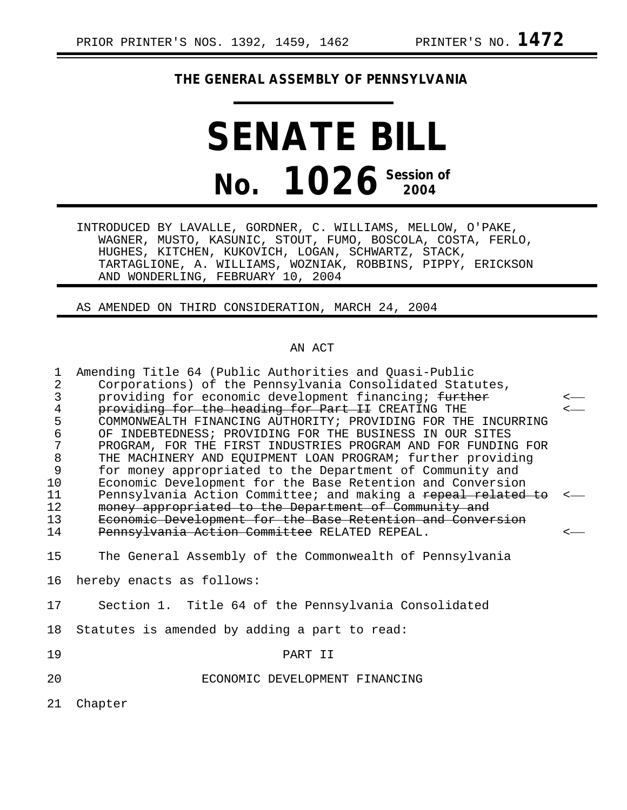# **THE GENERAL ASSEMBLY OF PENNSYLVANIA**

# **SENATE BILL No. 1026 Session of 2004**

INTRODUCED BY LAVALLE, GORDNER, C. WILLIAMS, MELLOW, O'PAKE, WAGNER, MUSTO, KASUNIC, STOUT, FUMO, BOSCOLA, COSTA, FERLO, HUGHES, KITCHEN, KUKOVICH, LOGAN, SCHWARTZ, STACK, TARTAGLIONE, A. WILLIAMS, WOZNIAK, ROBBINS, PIPPY, ERICKSON AND WONDERLING, FEBRUARY 10, 2004

AS AMENDED ON THIRD CONSIDERATION, MARCH 24, 2004

## AN ACT

| $\mathbf{1}$<br>2<br>3<br>$\overline{4}$<br>5<br>6<br>7<br>$\,8\,$<br>9<br>10<br>11<br>12<br>13<br>14 | Amending Title 64 (Public Authorities and Quasi-Public<br>Corporations) of the Pennsylvania Consolidated Statutes,<br>providing for economic development financing; further<br>providing for the heading for Part II CREATING THE<br>COMMONWEALTH FINANCING AUTHORITY; PROVIDING FOR THE INCURRING<br>OF INDEBTEDNESS; PROVIDING FOR THE BUSINESS IN OUR SITES<br>PROGRAM, FOR THE FIRST INDUSTRIES PROGRAM AND FOR FUNDING FOR<br>THE MACHINERY AND EQUIPMENT LOAN PROGRAM; further providing<br>for money appropriated to the Department of Community and<br>Economic Development for the Base Retention and Conversion<br>Pennsylvania Action Committee; and making a repeal related to<br>money appropriated to the Department of Community and<br>Economic Development for the Base Retention and Conversion<br>Pennsylvania Action Committee RELATED REPEAL. |  |
|-------------------------------------------------------------------------------------------------------|--------------------------------------------------------------------------------------------------------------------------------------------------------------------------------------------------------------------------------------------------------------------------------------------------------------------------------------------------------------------------------------------------------------------------------------------------------------------------------------------------------------------------------------------------------------------------------------------------------------------------------------------------------------------------------------------------------------------------------------------------------------------------------------------------------------------------------------------------------------------|--|
| 15                                                                                                    | The General Assembly of the Commonwealth of Pennsylvania                                                                                                                                                                                                                                                                                                                                                                                                                                                                                                                                                                                                                                                                                                                                                                                                           |  |
| 16                                                                                                    | hereby enacts as follows:                                                                                                                                                                                                                                                                                                                                                                                                                                                                                                                                                                                                                                                                                                                                                                                                                                          |  |
| 17                                                                                                    | Section 1. Title 64 of the Pennsylvania Consolidated                                                                                                                                                                                                                                                                                                                                                                                                                                                                                                                                                                                                                                                                                                                                                                                                               |  |
| 18                                                                                                    | Statutes is amended by adding a part to read:                                                                                                                                                                                                                                                                                                                                                                                                                                                                                                                                                                                                                                                                                                                                                                                                                      |  |
| 19                                                                                                    | PART II                                                                                                                                                                                                                                                                                                                                                                                                                                                                                                                                                                                                                                                                                                                                                                                                                                                            |  |
| 20                                                                                                    | ECONOMIC DEVELOPMENT FINANCING                                                                                                                                                                                                                                                                                                                                                                                                                                                                                                                                                                                                                                                                                                                                                                                                                                     |  |
| 21                                                                                                    | Chapter                                                                                                                                                                                                                                                                                                                                                                                                                                                                                                                                                                                                                                                                                                                                                                                                                                                            |  |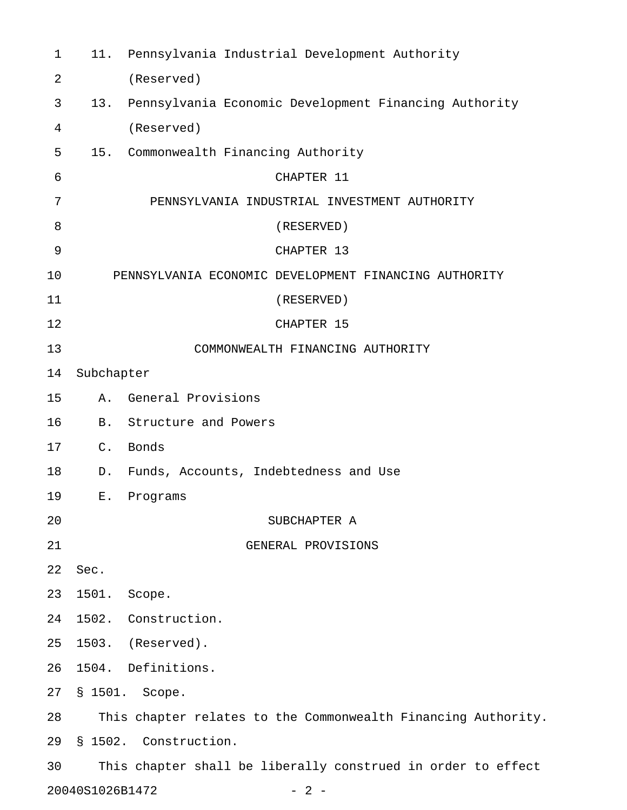| $\mathbf 1$ |                 | 11. Pennsylvania Industrial Development Authority             |  |  |
|-------------|-----------------|---------------------------------------------------------------|--|--|
| 2           |                 | (Reserved)                                                    |  |  |
| 3           | 13.             | Pennsylvania Economic Development Financing Authority         |  |  |
| 4           |                 | (Reserved)                                                    |  |  |
| 5           |                 | 15. Commonwealth Financing Authority                          |  |  |
| 6           |                 | CHAPTER 11                                                    |  |  |
| 7           |                 | PENNSYLVANIA INDUSTRIAL INVESTMENT AUTHORITY                  |  |  |
| 8           |                 | (RESERVED)                                                    |  |  |
| 9           |                 | CHAPTER 13                                                    |  |  |
| 10          |                 | PENNSYLVANIA ECONOMIC DEVELOPMENT FINANCING AUTHORITY         |  |  |
| 11          |                 | (RESERVED)                                                    |  |  |
| 12          |                 | CHAPTER 15                                                    |  |  |
| 13          |                 | COMMONWEALTH FINANCING AUTHORITY                              |  |  |
| 14          | Subchapter      |                                                               |  |  |
| 15          | Α.              | General Provisions                                            |  |  |
| 16          |                 | B. Structure and Powers                                       |  |  |
| 17          | $C$ .           | Bonds                                                         |  |  |
| 18          | D.              | Funds, Accounts, Indebtedness and Use                         |  |  |
| 19          | Ε.              | Programs                                                      |  |  |
| 20          |                 | SUBCHAPTER A                                                  |  |  |
| 21          |                 | GENERAL PROVISIONS                                            |  |  |
| 22          | Sec.            |                                                               |  |  |
| 23          | 1501.           | Scope.                                                        |  |  |
| 24          |                 | 1502. Construction.                                           |  |  |
| 25          |                 | 1503. (Reserved).                                             |  |  |
| 26          |                 | 1504. Definitions.                                            |  |  |
| 27          |                 | § 1501. Scope.                                                |  |  |
| 28          |                 | This chapter relates to the Commonwealth Financing Authority. |  |  |
| 29          |                 | § 1502. Construction.                                         |  |  |
| 30          |                 | This chapter shall be liberally construed in order to effect  |  |  |
|             | 20040S1026B1472 | $-2-$                                                         |  |  |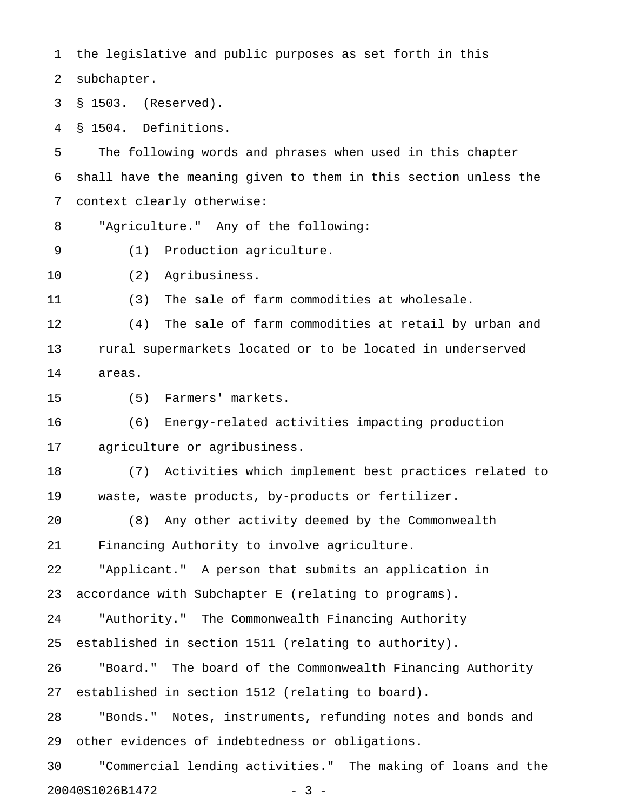1 the legislative and public purposes as set forth in this 2 subchapter. 3 § 1503. (Reserved). 4 § 1504. Definitions. 5 The following words and phrases when used in this chapter 6 shall have the meaning given to them in this section unless the 7 context clearly otherwise:

8 "Agriculture." Any of the following:

- 9 (1) Production agriculture.
- 10 (2) Agribusiness.

11 (3) The sale of farm commodities at wholesale.

12 (4) The sale of farm commodities at retail by urban and 13 rural supermarkets located or to be located in underserved 14 areas.

15 (5) Farmers' markets.

16 (6) Energy-related activities impacting production 17 agriculture or agribusiness.

18 (7) Activities which implement best practices related to 19 waste, waste products, by-products or fertilizer.

20 (8) Any other activity deemed by the Commonwealth 21 Financing Authority to involve agriculture.

22 "Applicant." A person that submits an application in 23 accordance with Subchapter E (relating to programs).

24 "Authority." The Commonwealth Financing Authority

25 established in section 1511 (relating to authority).

26 "Board." The board of the Commonwealth Financing Authority 27 established in section 1512 (relating to board).

28 "Bonds." Notes, instruments, refunding notes and bonds and 29 other evidences of indebtedness or obligations.

30 "Commercial lending activities." The making of loans and the 20040S1026B1472 - 3 -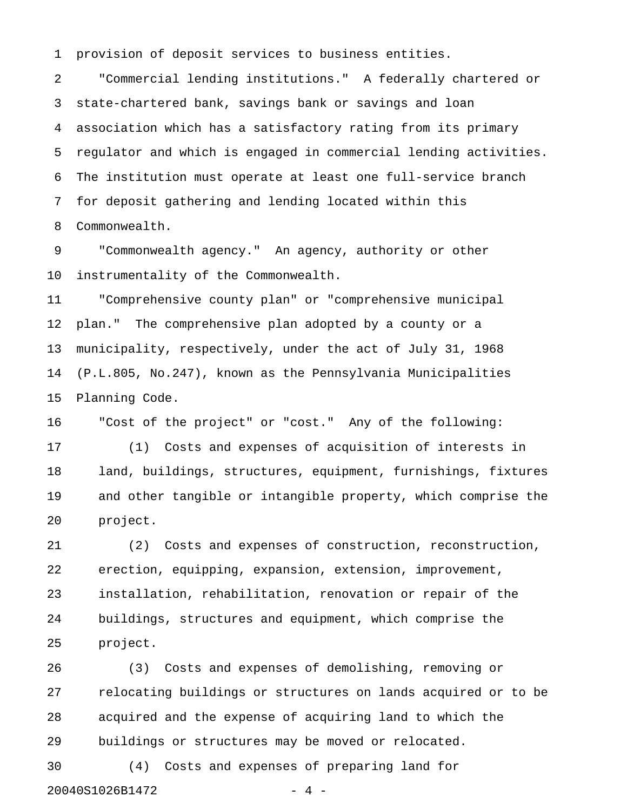1 provision of deposit services to business entities.

2 "Commercial lending institutions." A federally chartered or 3 state-chartered bank, savings bank or savings and loan 4 association which has a satisfactory rating from its primary 5 regulator and which is engaged in commercial lending activities. 6 The institution must operate at least one full-service branch 7 for deposit gathering and lending located within this 8 Commonwealth.

9 "Commonwealth agency." An agency, authority or other 10 instrumentality of the Commonwealth.

11 "Comprehensive county plan" or "comprehensive municipal 12 plan." The comprehensive plan adopted by a county or a 13 municipality, respectively, under the act of July 31, 1968 14 (P.L.805, No.247), known as the Pennsylvania Municipalities 15 Planning Code.

16 "Cost of the project" or "cost." Any of the following:

17 (1) Costs and expenses of acquisition of interests in 18 land, buildings, structures, equipment, furnishings, fixtures 19 and other tangible or intangible property, which comprise the 20 project.

21 (2) Costs and expenses of construction, reconstruction, 22 erection, equipping, expansion, extension, improvement, 23 installation, rehabilitation, renovation or repair of the 24 buildings, structures and equipment, which comprise the 25 project.

26 (3) Costs and expenses of demolishing, removing or 27 relocating buildings or structures on lands acquired or to be 28 acquired and the expense of acquiring land to which the 29 buildings or structures may be moved or relocated.

30 (4) Costs and expenses of preparing land for 20040S1026B1472 - 4 -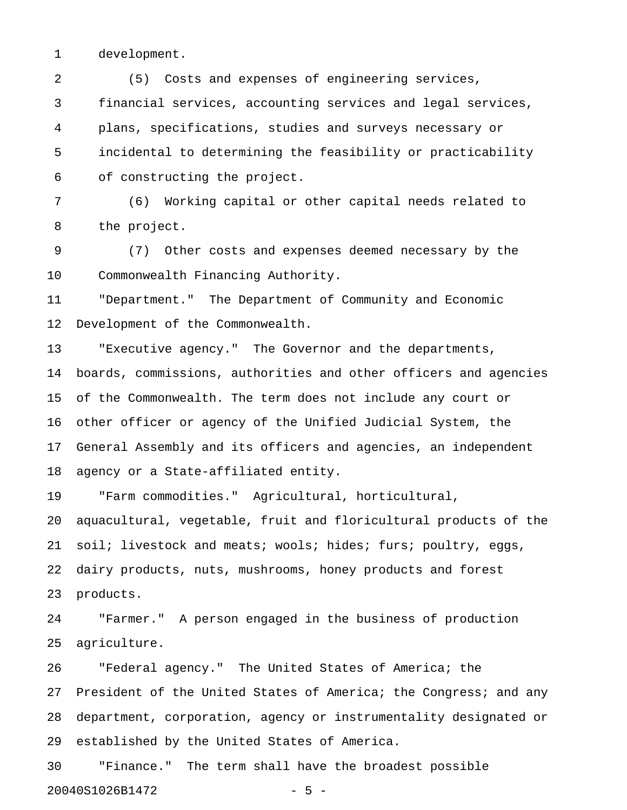1 development.

2 (5) Costs and expenses of engineering services, 3 financial services, accounting services and legal services, 4 plans, specifications, studies and surveys necessary or 5 incidental to determining the feasibility or practicability 6 of constructing the project.

7 (6) Working capital or other capital needs related to 8 the project.

9 (7) Other costs and expenses deemed necessary by the 10 Commonwealth Financing Authority.

11 "Department." The Department of Community and Economic 12 Development of the Commonwealth.

13 "Executive agency." The Governor and the departments, 14 boards, commissions, authorities and other officers and agencies 15 of the Commonwealth. The term does not include any court or 16 other officer or agency of the Unified Judicial System, the 17 General Assembly and its officers and agencies, an independent 18 agency or a State-affiliated entity.

19 "Farm commodities." Agricultural, horticultural, 20 aquacultural, vegetable, fruit and floricultural products of the 21 soil; livestock and meats; wools; hides; furs; poultry, eggs, 22 dairy products, nuts, mushrooms, honey products and forest 23 products.

24 "Farmer." A person engaged in the business of production 25 agriculture.

26 "Federal agency." The United States of America; the 27 President of the United States of America; the Congress; and any 28 department, corporation, agency or instrumentality designated or 29 established by the United States of America.

30 "Finance." The term shall have the broadest possible 20040S1026B1472 - 5 -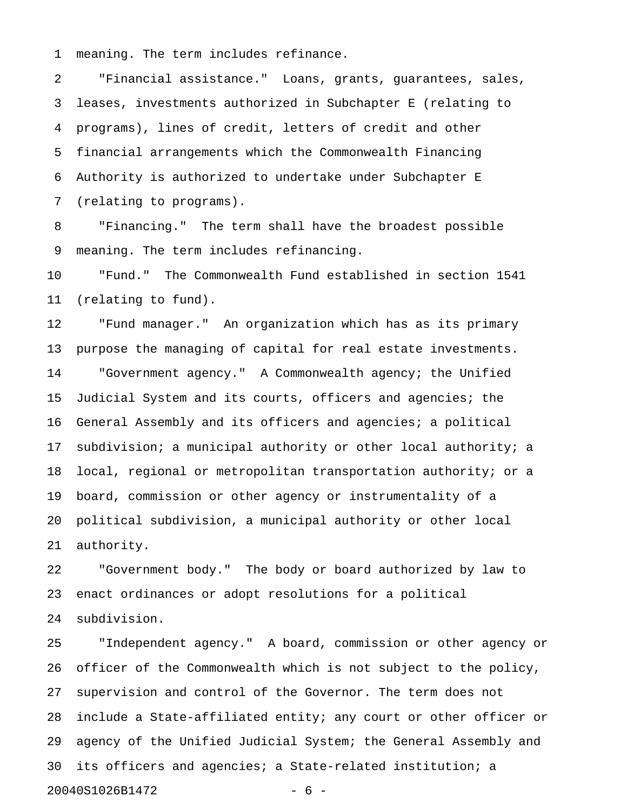1 meaning. The term includes refinance.

2 "Financial assistance." Loans, grants, guarantees, sales, 3 leases, investments authorized in Subchapter E (relating to 4 programs), lines of credit, letters of credit and other 5 financial arrangements which the Commonwealth Financing 6 Authority is authorized to undertake under Subchapter E 7 (relating to programs).

8 "Financing." The term shall have the broadest possible 9 meaning. The term includes refinancing.

10 "Fund." The Commonwealth Fund established in section 1541 11 (relating to fund).

12 "Fund manager." An organization which has as its primary 13 purpose the managing of capital for real estate investments. 14 "Government agency." A Commonwealth agency; the Unified 15 Judicial System and its courts, officers and agencies; the 16 General Assembly and its officers and agencies; a political 17 subdivision; a municipal authority or other local authority; a 18 local, regional or metropolitan transportation authority; or a 19 board, commission or other agency or instrumentality of a 20 political subdivision, a municipal authority or other local 21 authority.

22 "Government body." The body or board authorized by law to 23 enact ordinances or adopt resolutions for a political 24 subdivision.

25 "Independent agency." A board, commission or other agency or 26 officer of the Commonwealth which is not subject to the policy, 27 supervision and control of the Governor. The term does not 28 include a State-affiliated entity; any court or other officer or 29 agency of the Unified Judicial System; the General Assembly and 30 its officers and agencies; a State-related institution; a 20040S1026B1472 - 6 -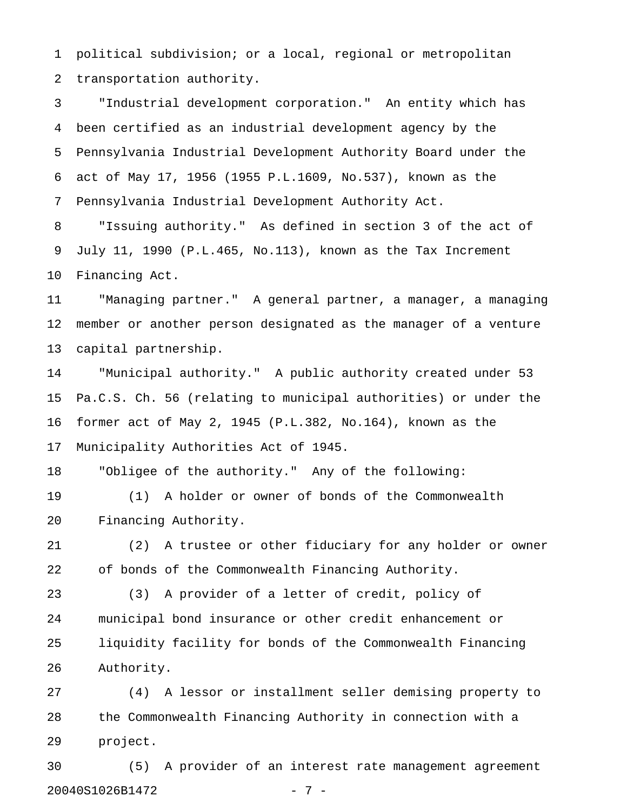1 political subdivision; or a local, regional or metropolitan 2 transportation authority.

3 "Industrial development corporation." An entity which has 4 been certified as an industrial development agency by the 5 Pennsylvania Industrial Development Authority Board under the 6 act of May 17, 1956 (1955 P.L.1609, No.537), known as the 7 Pennsylvania Industrial Development Authority Act.

8 "Issuing authority." As defined in section 3 of the act of 9 July 11, 1990 (P.L.465, No.113), known as the Tax Increment 10 Financing Act.

11 "Managing partner." A general partner, a manager, a managing 12 member or another person designated as the manager of a venture 13 capital partnership.

14 "Municipal authority." A public authority created under 53 15 Pa.C.S. Ch. 56 (relating to municipal authorities) or under the 16 former act of May 2, 1945 (P.L.382, No.164), known as the 17 Municipality Authorities Act of 1945.

18 "Obligee of the authority." Any of the following:

19 (1) A holder or owner of bonds of the Commonwealth 20 Financing Authority.

21 (2) A trustee or other fiduciary for any holder or owner 22 of bonds of the Commonwealth Financing Authority.

23 (3) A provider of a letter of credit, policy of 24 municipal bond insurance or other credit enhancement or 25 liquidity facility for bonds of the Commonwealth Financing 26 Authority.

27 (4) A lessor or installment seller demising property to 28 the Commonwealth Financing Authority in connection with a 29 project.

30 (5) A provider of an interest rate management agreement 20040S1026B1472 - 7 -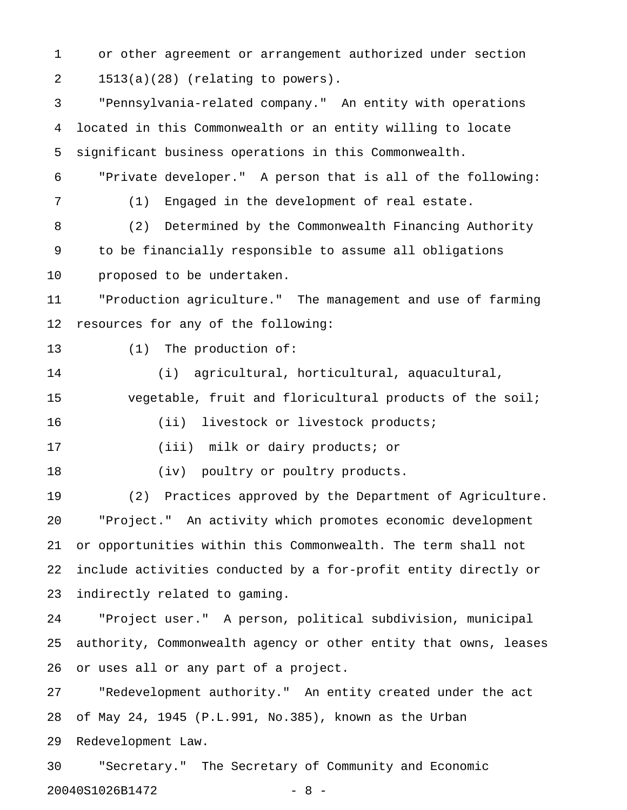1 or other agreement or arrangement authorized under section 2 1513(a)(28) (relating to powers).

3 "Pennsylvania-related company." An entity with operations 4 located in this Commonwealth or an entity willing to locate 5 significant business operations in this Commonwealth. 6 "Private developer." A person that is all of the following: 7 (1) Engaged in the development of real estate. 8 (2) Determined by the Commonwealth Financing Authority 9 to be financially responsible to assume all obligations 10 proposed to be undertaken. 11 "Production agriculture." The management and use of farming 12 resources for any of the following: 13 (1) The production of: 14 (i) agricultural, horticultural, aquacultural, 15 vegetable, fruit and floricultural products of the soil; 16 (ii) livestock or livestock products; 17 (iii) milk or dairy products; or 18 (iv) poultry or poultry products. 19 (2) Practices approved by the Department of Agriculture. 20 "Project." An activity which promotes economic development 21 or opportunities within this Commonwealth. The term shall not 22 include activities conducted by a for-profit entity directly or 23 indirectly related to gaming. 24 "Project user." A person, political subdivision, municipal 25 authority, Commonwealth agency or other entity that owns, leases 26 or uses all or any part of a project. 27 "Redevelopment authority." An entity created under the act 28 of May 24, 1945 (P.L.991, No.385), known as the Urban 29 Redevelopment Law. 30 "Secretary." The Secretary of Community and Economic

20040S1026B1472 - 8 -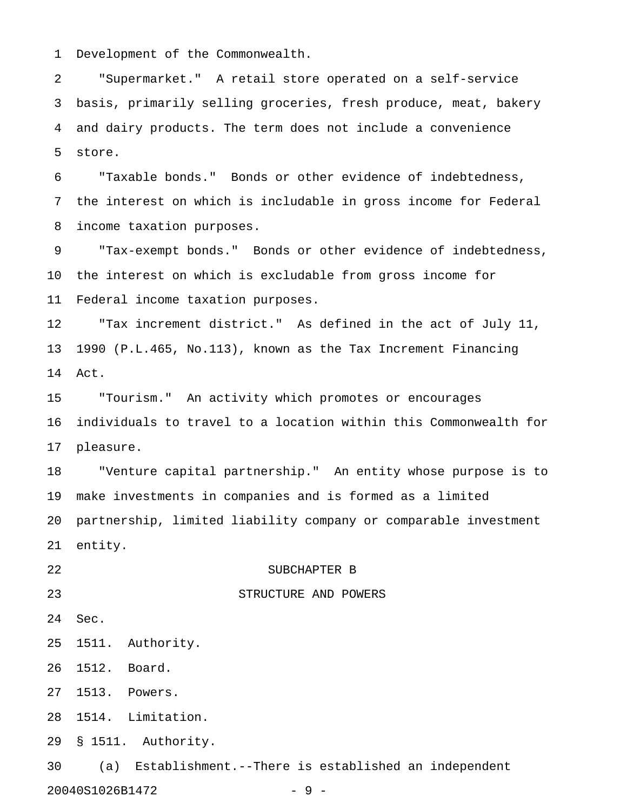1 Development of the Commonwealth.

2 "Supermarket." A retail store operated on a self-service 3 basis, primarily selling groceries, fresh produce, meat, bakery 4 and dairy products. The term does not include a convenience 5 store.

6 "Taxable bonds." Bonds or other evidence of indebtedness, 7 the interest on which is includable in gross income for Federal 8 income taxation purposes.

9 "Tax-exempt bonds." Bonds or other evidence of indebtedness, 10 the interest on which is excludable from gross income for 11 Federal income taxation purposes.

12 "Tax increment district." As defined in the act of July 11, 13 1990 (P.L.465, No.113), known as the Tax Increment Financing 14 Act.

15 "Tourism." An activity which promotes or encourages 16 individuals to travel to a location within this Commonwealth for 17 pleasure.

18 "Venture capital partnership." An entity whose purpose is to 19 make investments in companies and is formed as a limited 20 partnership, limited liability company or comparable investment 21 entity.

## 22 SUBCHAPTER B

23 STRUCTURE AND POWERS

- 24 Sec.
- 25 1511. Authority.
- 26 1512. Board.
- 27 1513. Powers.
- 28 1514. Limitation.
- 29 § 1511. Authority.

30 (a) Establishment.--There is established an independent 20040S1026B1472 - 9 -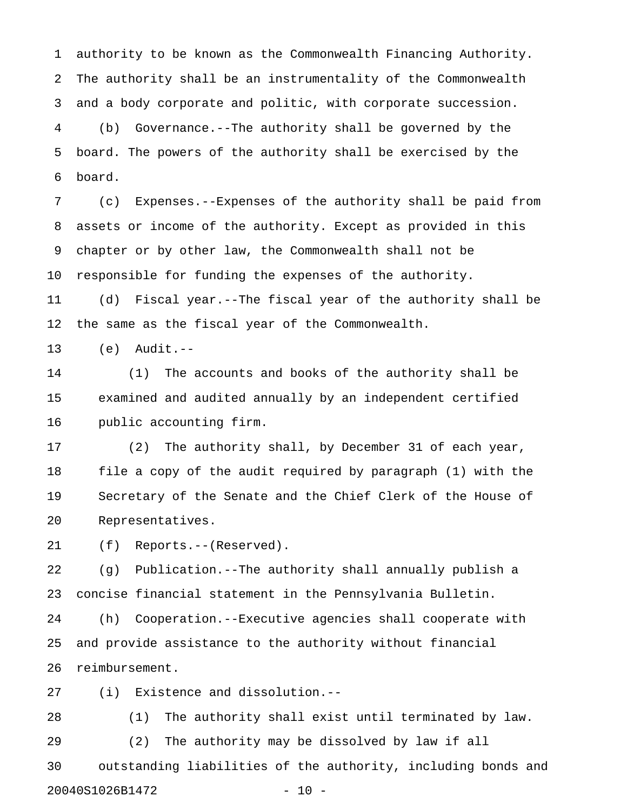1 authority to be known as the Commonwealth Financing Authority. 2 The authority shall be an instrumentality of the Commonwealth 3 and a body corporate and politic, with corporate succession. 4 (b) Governance.--The authority shall be governed by the 5 board. The powers of the authority shall be exercised by the 6 board.

7 (c) Expenses.--Expenses of the authority shall be paid from 8 assets or income of the authority. Except as provided in this 9 chapter or by other law, the Commonwealth shall not be 10 responsible for funding the expenses of the authority.

11 (d) Fiscal year.--The fiscal year of the authority shall be 12 the same as the fiscal year of the Commonwealth.

13 (e) Audit.--

14 (1) The accounts and books of the authority shall be 15 examined and audited annually by an independent certified 16 public accounting firm.

17 (2) The authority shall, by December 31 of each year, 18 file a copy of the audit required by paragraph (1) with the 19 Secretary of the Senate and the Chief Clerk of the House of 20 Representatives.

21 (f) Reports.--(Reserved).

22 (g) Publication.--The authority shall annually publish a 23 concise financial statement in the Pennsylvania Bulletin.

24 (h) Cooperation.--Executive agencies shall cooperate with 25 and provide assistance to the authority without financial 26 reimbursement.

27 (i) Existence and dissolution.--

28 (1) The authority shall exist until terminated by law. 29 (2) The authority may be dissolved by law if all 30 outstanding liabilities of the authority, including bonds and

20040S1026B1472 - 10 -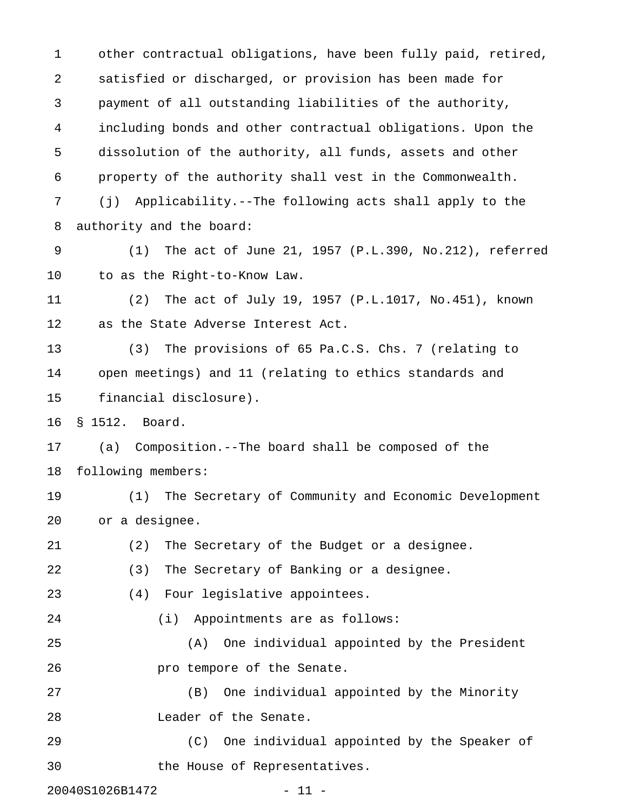1 other contractual obligations, have been fully paid, retired, 2 satisfied or discharged, or provision has been made for 3 payment of all outstanding liabilities of the authority, 4 including bonds and other contractual obligations. Upon the 5 dissolution of the authority, all funds, assets and other 6 property of the authority shall vest in the Commonwealth. 7 (j) Applicability.--The following acts shall apply to the 8 authority and the board: 9 (1) The act of June 21, 1957 (P.L.390, No.212), referred 10 to as the Right-to-Know Law. 11 (2) The act of July 19, 1957 (P.L.1017, No.451), known 12 as the State Adverse Interest Act. 13 (3) The provisions of 65 Pa.C.S. Chs. 7 (relating to 14 open meetings) and 11 (relating to ethics standards and 15 financial disclosure). 16 § 1512. Board. 17 (a) Composition.--The board shall be composed of the 18 following members: 19 (1) The Secretary of Community and Economic Development 20 or a designee. 21 (2) The Secretary of the Budget or a designee. 22 (3) The Secretary of Banking or a designee. 23 (4) Four legislative appointees. 24 (i) Appointments are as follows: 25 (A) One individual appointed by the President 26 **pro tempore of the Senate.** 27 (B) One individual appointed by the Minority 28 Leader of the Senate. 29 (C) One individual appointed by the Speaker of 30 the House of Representatives.

20040S1026B1472 - 11 -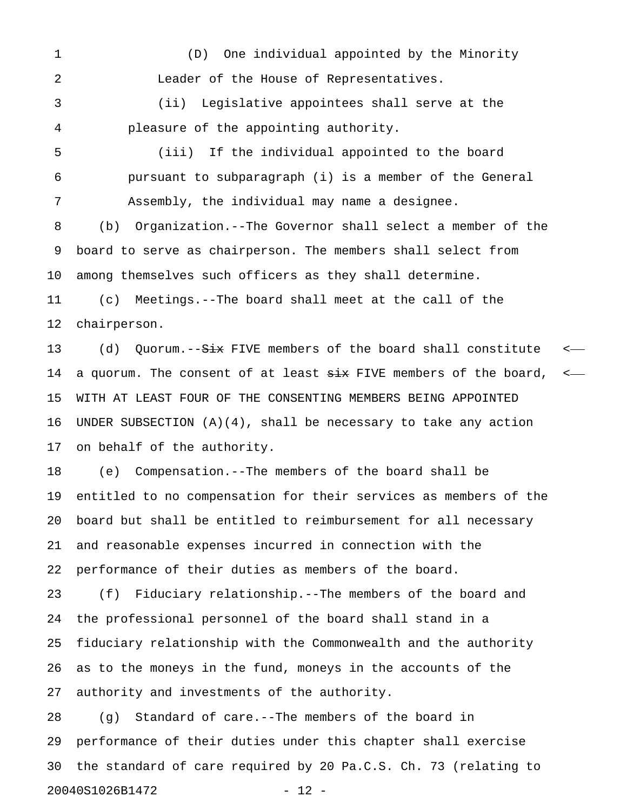1 (D) One individual appointed by the Minority 2 Leader of the House of Representatives.

3 (ii) Legislative appointees shall serve at the 4 pleasure of the appointing authority.

5 (iii) If the individual appointed to the board 6 pursuant to subparagraph (i) is a member of the General 7 Assembly, the individual may name a designee.

8 (b) Organization.--The Governor shall select a member of the 9 board to serve as chairperson. The members shall select from 10 among themselves such officers as they shall determine.

11 (c) Meetings.--The board shall meet at the call of the 12 chairperson.

13 (d) Quorum.--<del>Six</del> FIVE members of the board shall constitute <-14 a quorum. The consent of at least  $\frac{1}{x}$  FIVE members of the board, <-15 WITH AT LEAST FOUR OF THE CONSENTING MEMBERS BEING APPOINTED 16 UNDER SUBSECTION (A)(4), shall be necessary to take any action 17 on behalf of the authority.

18 (e) Compensation.--The members of the board shall be 19 entitled to no compensation for their services as members of the 20 board but shall be entitled to reimbursement for all necessary 21 and reasonable expenses incurred in connection with the 22 performance of their duties as members of the board.

23 (f) Fiduciary relationship.--The members of the board and 24 the professional personnel of the board shall stand in a 25 fiduciary relationship with the Commonwealth and the authority 26 as to the moneys in the fund, moneys in the accounts of the 27 authority and investments of the authority.

28 (g) Standard of care.--The members of the board in 29 performance of their duties under this chapter shall exercise 30 the standard of care required by 20 Pa.C.S. Ch. 73 (relating to 20040S1026B1472 - 12 -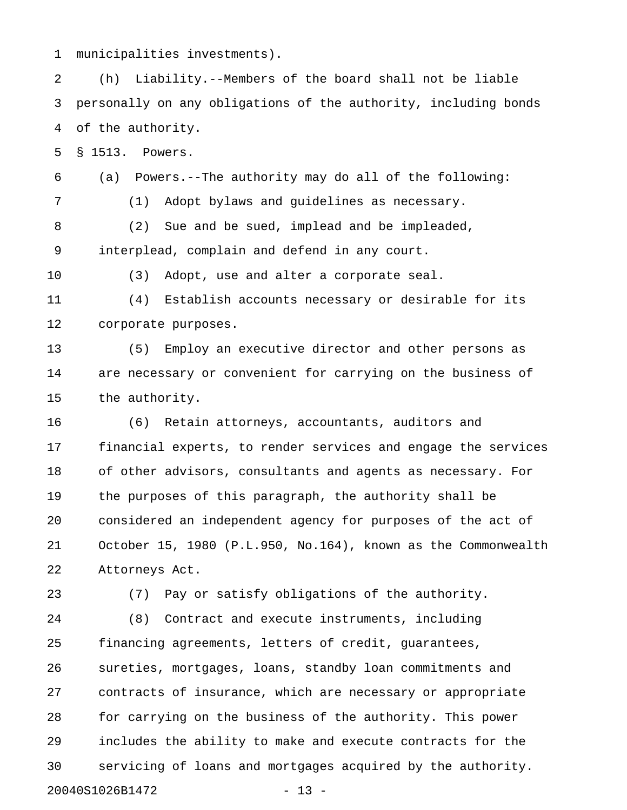1 municipalities investments).

2 (h) Liability.--Members of the board shall not be liable 3 personally on any obligations of the authority, including bonds 4 of the authority.

5 § 1513. Powers.

6 (a) Powers.--The authority may do all of the following:

7 (1) Adopt bylaws and guidelines as necessary.

8 (2) Sue and be sued, implead and be impleaded, 9 interplead, complain and defend in any court.

10 (3) Adopt, use and alter a corporate seal.

11 (4) Establish accounts necessary or desirable for its 12 corporate purposes.

13 (5) Employ an executive director and other persons as 14 are necessary or convenient for carrying on the business of 15 the authority.

16 (6) Retain attorneys, accountants, auditors and 17 financial experts, to render services and engage the services 18 of other advisors, consultants and agents as necessary. For 19 the purposes of this paragraph, the authority shall be 20 considered an independent agency for purposes of the act of 21 October 15, 1980 (P.L.950, No.164), known as the Commonwealth 22 Attorneys Act.

23 (7) Pay or satisfy obligations of the authority.

24 (8) Contract and execute instruments, including 25 financing agreements, letters of credit, guarantees, 26 sureties, mortgages, loans, standby loan commitments and 27 contracts of insurance, which are necessary or appropriate 28 for carrying on the business of the authority. This power 29 includes the ability to make and execute contracts for the 30 servicing of loans and mortgages acquired by the authority. 20040S1026B1472 - 13 -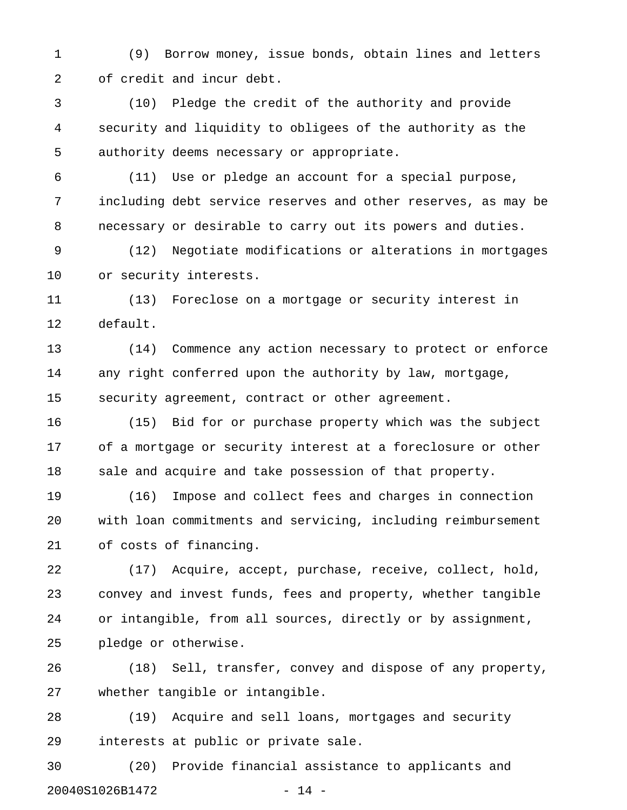1 (9) Borrow money, issue bonds, obtain lines and letters 2 of credit and incur debt.

3 (10) Pledge the credit of the authority and provide 4 security and liquidity to obligees of the authority as the 5 authority deems necessary or appropriate.

6 (11) Use or pledge an account for a special purpose, 7 including debt service reserves and other reserves, as may be 8 necessary or desirable to carry out its powers and duties.

9 (12) Negotiate modifications or alterations in mortgages 10 or security interests.

11 (13) Foreclose on a mortgage or security interest in 12 default.

13 (14) Commence any action necessary to protect or enforce 14 any right conferred upon the authority by law, mortgage, 15 security agreement, contract or other agreement.

16 (15) Bid for or purchase property which was the subject 17 of a mortgage or security interest at a foreclosure or other 18 sale and acquire and take possession of that property.

19 (16) Impose and collect fees and charges in connection 20 with loan commitments and servicing, including reimbursement 21 of costs of financing.

22 (17) Acquire, accept, purchase, receive, collect, hold, 23 convey and invest funds, fees and property, whether tangible 24 or intangible, from all sources, directly or by assignment, 25 pledge or otherwise.

26 (18) Sell, transfer, convey and dispose of any property, 27 whether tangible or intangible.

28 (19) Acquire and sell loans, mortgages and security 29 interests at public or private sale.

30 (20) Provide financial assistance to applicants and 20040S1026B1472 - 14 -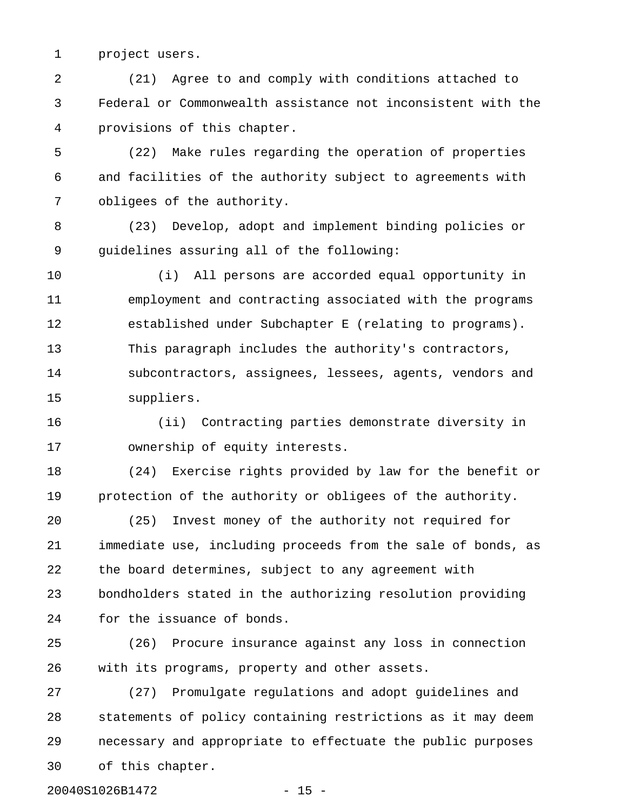1 project users.

2 (21) Agree to and comply with conditions attached to 3 Federal or Commonwealth assistance not inconsistent with the 4 provisions of this chapter.

5 (22) Make rules regarding the operation of properties 6 and facilities of the authority subject to agreements with 7 obligees of the authority.

8 (23) Develop, adopt and implement binding policies or 9 guidelines assuring all of the following:

10 (i) All persons are accorded equal opportunity in 11 employment and contracting associated with the programs 12 established under Subchapter E (relating to programs). 13 This paragraph includes the authority's contractors, 14 subcontractors, assignees, lessees, agents, vendors and 15 suppliers.

16 (ii) Contracting parties demonstrate diversity in 17 ownership of equity interests.

18 (24) Exercise rights provided by law for the benefit or 19 protection of the authority or obligees of the authority.

20 (25) Invest money of the authority not required for 21 immediate use, including proceeds from the sale of bonds, as 22 the board determines, subject to any agreement with 23 bondholders stated in the authorizing resolution providing 24 for the issuance of bonds.

25 (26) Procure insurance against any loss in connection 26 with its programs, property and other assets.

27 (27) Promulgate regulations and adopt guidelines and 28 statements of policy containing restrictions as it may deem 29 necessary and appropriate to effectuate the public purposes 30 of this chapter.

20040S1026B1472 - 15 -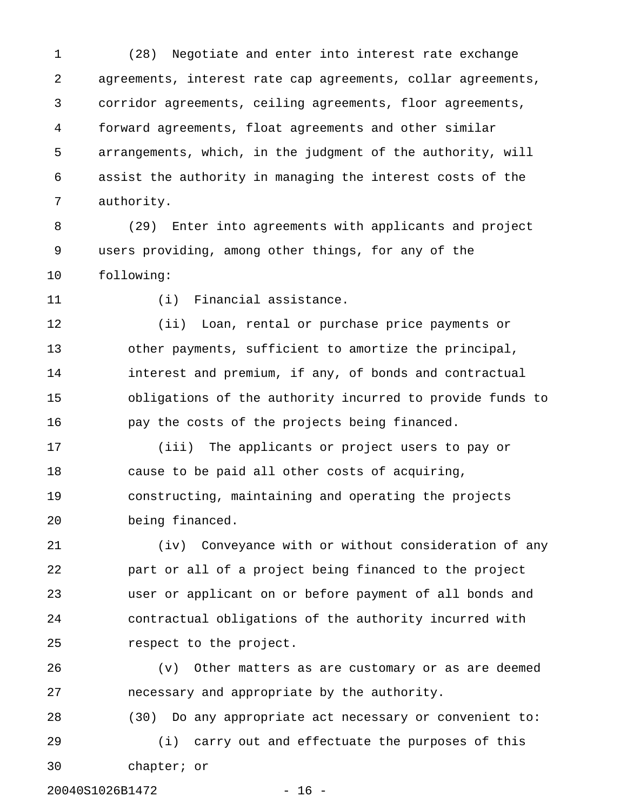1 (28) Negotiate and enter into interest rate exchange 2 agreements, interest rate cap agreements, collar agreements, 3 corridor agreements, ceiling agreements, floor agreements, 4 forward agreements, float agreements and other similar 5 arrangements, which, in the judgment of the authority, will 6 assist the authority in managing the interest costs of the 7 authority.

8 (29) Enter into agreements with applicants and project 9 users providing, among other things, for any of the 10 following:

11 (i) Financial assistance.

12 (ii) Loan, rental or purchase price payments or 13 other payments, sufficient to amortize the principal, 14 interest and premium, if any, of bonds and contractual 15 obligations of the authority incurred to provide funds to 16 pay the costs of the projects being financed.

17 (iii) The applicants or project users to pay or 18 cause to be paid all other costs of acquiring, 19 constructing, maintaining and operating the projects 20 being financed.

21 (iv) Conveyance with or without consideration of any 22 part or all of a project being financed to the project 23 user or applicant on or before payment of all bonds and 24 contractual obligations of the authority incurred with 25 respect to the project.

26 (v) Other matters as are customary or as are deemed 27 necessary and appropriate by the authority.

28 (30) Do any appropriate act necessary or convenient to: 29 (i) carry out and effectuate the purposes of this

30 chapter; or

20040S1026B1472 - 16 -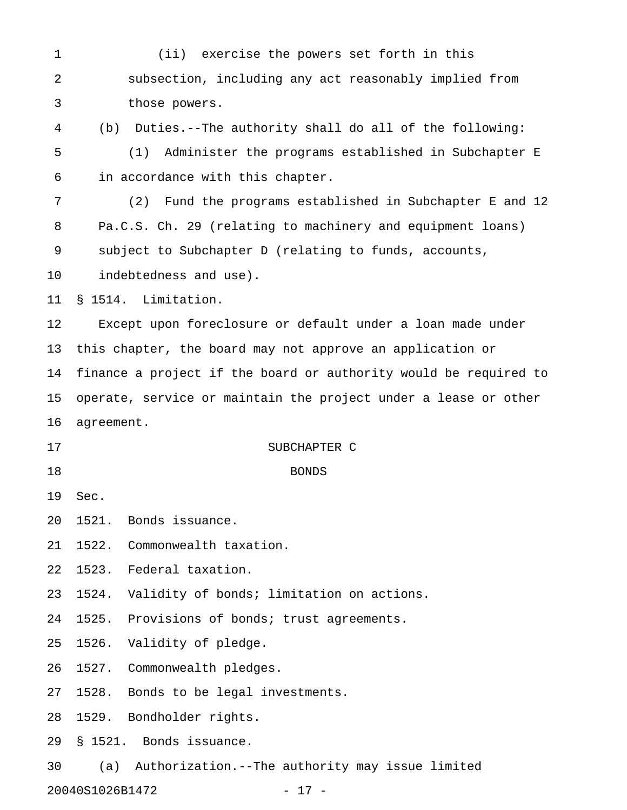1 (ii) exercise the powers set forth in this 2 subsection, including any act reasonably implied from 3 those powers. 4 (b) Duties.--The authority shall do all of the following: 5 (1) Administer the programs established in Subchapter E 6 in accordance with this chapter. 7 (2) Fund the programs established in Subchapter E and 12 8 Pa.C.S. Ch. 29 (relating to machinery and equipment loans) 9 subject to Subchapter D (relating to funds, accounts, 10 indebtedness and use). 11 § 1514. Limitation. 12 Except upon foreclosure or default under a loan made under 13 this chapter, the board may not approve an application or 14 finance a project if the board or authority would be required to 15 operate, service or maintain the project under a lease or other 16 agreement. 17 SUBCHAPTER C 18 BONDS 19 Sec. 20 1521. Bonds issuance. 21 1522. Commonwealth taxation. 22 1523. Federal taxation. 23 1524. Validity of bonds; limitation on actions. 24 1525. Provisions of bonds; trust agreements. 25 1526. Validity of pledge. 26 1527. Commonwealth pledges. 27 1528. Bonds to be legal investments. 28 1529. Bondholder rights. 29 § 1521. Bonds issuance. 30 (a) Authorization.--The authority may issue limited

20040S1026B1472 - 17 -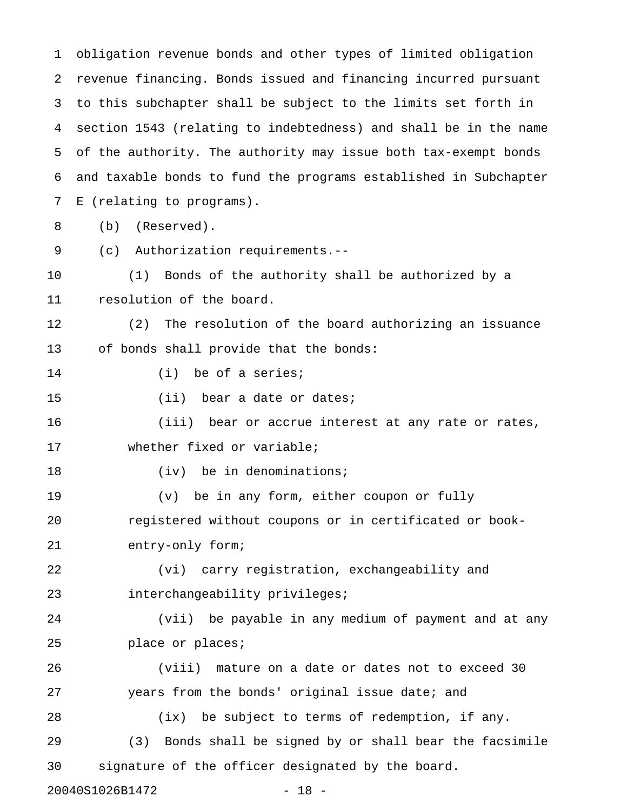1 obligation revenue bonds and other types of limited obligation 2 revenue financing. Bonds issued and financing incurred pursuant 3 to this subchapter shall be subject to the limits set forth in 4 section 1543 (relating to indebtedness) and shall be in the name 5 of the authority. The authority may issue both tax-exempt bonds 6 and taxable bonds to fund the programs established in Subchapter 7 E (relating to programs). 8 (b) (Reserved). 9 (c) Authorization requirements.-- 10 (1) Bonds of the authority shall be authorized by a 11 resolution of the board. 12 (2) The resolution of the board authorizing an issuance 13 of bonds shall provide that the bonds: 14 (i) be of a series; 15 (ii) bear a date or dates; 16 (iii) bear or accrue interest at any rate or rates, 17 whether fixed or variable; 18 (iv) be in denominations; 19 (v) be in any form, either coupon or fully 20 registered without coupons or in certificated or book-21 entry-only form; 22 (vi) carry registration, exchangeability and 23 interchangeability privileges; 24 (vii) be payable in any medium of payment and at any 25 place or places; 26 (viii) mature on a date or dates not to exceed 30 27 years from the bonds' original issue date; and 28 (ix) be subject to terms of redemption, if any. 29 (3) Bonds shall be signed by or shall bear the facsimile 30 signature of the officer designated by the board. 20040S1026B1472 - 18 -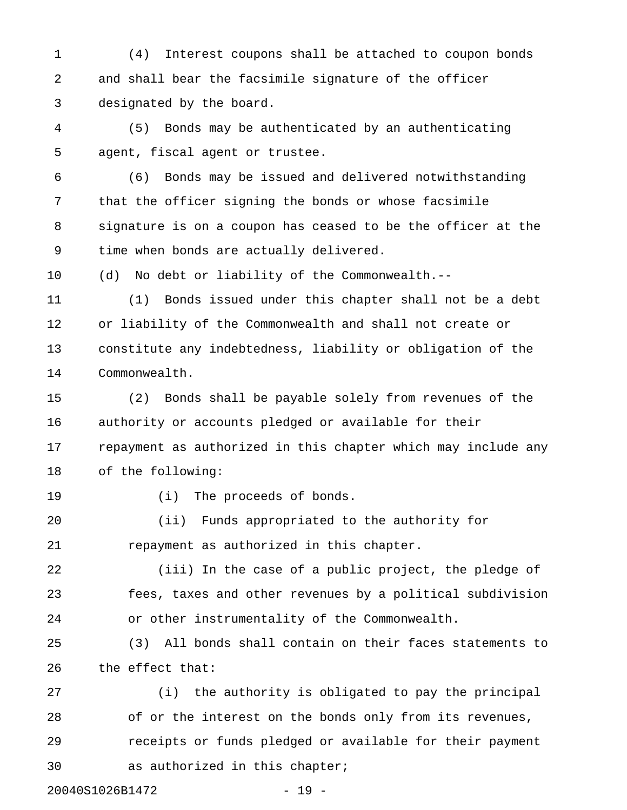1 (4) Interest coupons shall be attached to coupon bonds 2 and shall bear the facsimile signature of the officer 3 designated by the board.

4 (5) Bonds may be authenticated by an authenticating 5 agent, fiscal agent or trustee.

6 (6) Bonds may be issued and delivered notwithstanding 7 that the officer signing the bonds or whose facsimile 8 signature is on a coupon has ceased to be the officer at the 9 time when bonds are actually delivered.

10 (d) No debt or liability of the Commonwealth.--

11 (1) Bonds issued under this chapter shall not be a debt 12 or liability of the Commonwealth and shall not create or 13 constitute any indebtedness, liability or obligation of the 14 Commonwealth.

15 (2) Bonds shall be payable solely from revenues of the 16 authority or accounts pledged or available for their 17 repayment as authorized in this chapter which may include any 18 of the following:

19 (i) The proceeds of bonds.

20 (ii) Funds appropriated to the authority for 21 repayment as authorized in this chapter.

22 (iii) In the case of a public project, the pledge of 23 fees, taxes and other revenues by a political subdivision 24 or other instrumentality of the Commonwealth.

25 (3) All bonds shall contain on their faces statements to 26 the effect that:

27 (i) the authority is obligated to pay the principal 28 of or the interest on the bonds only from its revenues, 29 receipts or funds pledged or available for their payment 30 as authorized in this chapter;

20040S1026B1472 - 19 -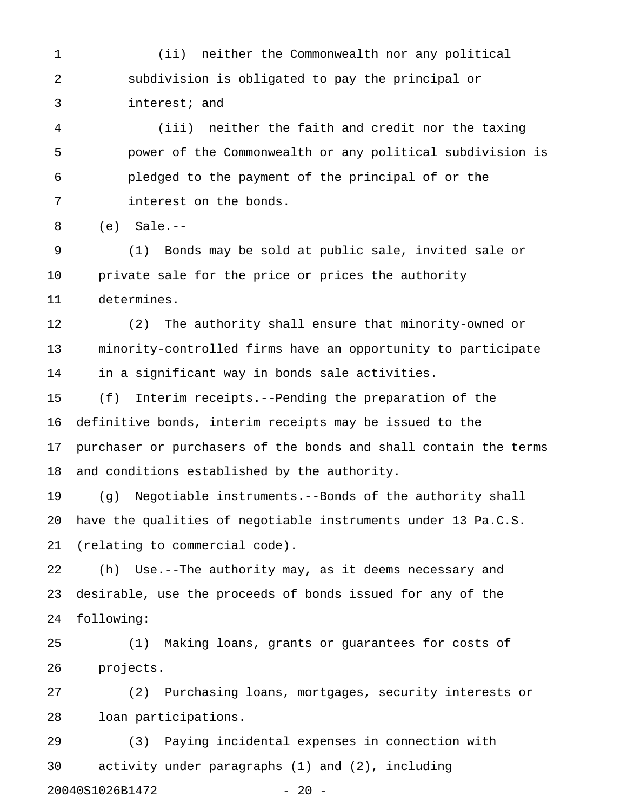1 (ii) neither the Commonwealth nor any political 2 subdivision is obligated to pay the principal or 3 interest; and

4 (iii) neither the faith and credit nor the taxing 5 power of the Commonwealth or any political subdivision is 6 pledged to the payment of the principal of or the 7 interest on the bonds.

8 (e) Sale.--

9 (1) Bonds may be sold at public sale, invited sale or 10 private sale for the price or prices the authority 11 determines.

12 (2) The authority shall ensure that minority-owned or 13 minority-controlled firms have an opportunity to participate 14 in a significant way in bonds sale activities.

15 (f) Interim receipts.--Pending the preparation of the 16 definitive bonds, interim receipts may be issued to the 17 purchaser or purchasers of the bonds and shall contain the terms 18 and conditions established by the authority.

19 (g) Negotiable instruments.--Bonds of the authority shall 20 have the qualities of negotiable instruments under 13 Pa.C.S. 21 (relating to commercial code).

22 (h) Use.--The authority may, as it deems necessary and 23 desirable, use the proceeds of bonds issued for any of the 24 following:

25 (1) Making loans, grants or guarantees for costs of 26 projects.

27 (2) Purchasing loans, mortgages, security interests or 28 loan participations.

29 (3) Paying incidental expenses in connection with 30 activity under paragraphs (1) and (2), including 20040S1026B1472 - 20 -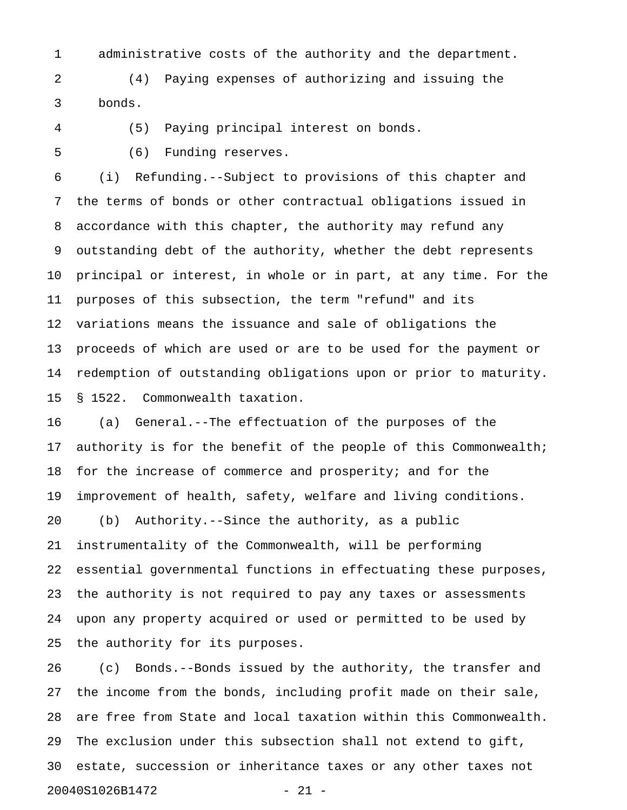1 administrative costs of the authority and the department.

2 (4) Paying expenses of authorizing and issuing the 3 bonds.

4 (5) Paying principal interest on bonds.

5 (6) Funding reserves.

25 the authority for its purposes.

6 (i) Refunding.--Subject to provisions of this chapter and 7 the terms of bonds or other contractual obligations issued in 8 accordance with this chapter, the authority may refund any 9 outstanding debt of the authority, whether the debt represents 10 principal or interest, in whole or in part, at any time. For the 11 purposes of this subsection, the term "refund" and its 12 variations means the issuance and sale of obligations the 13 proceeds of which are used or are to be used for the payment or 14 redemption of outstanding obligations upon or prior to maturity. 15 § 1522. Commonwealth taxation.

16 (a) General.--The effectuation of the purposes of the 17 authority is for the benefit of the people of this Commonwealth; 18 for the increase of commerce and prosperity; and for the 19 improvement of health, safety, welfare and living conditions. 20 (b) Authority.--Since the authority, as a public 21 instrumentality of the Commonwealth, will be performing 22 essential governmental functions in effectuating these purposes, 23 the authority is not required to pay any taxes or assessments 24 upon any property acquired or used or permitted to be used by

26 (c) Bonds.--Bonds issued by the authority, the transfer and 27 the income from the bonds, including profit made on their sale, 28 are free from State and local taxation within this Commonwealth. 29 The exclusion under this subsection shall not extend to gift, 30 estate, succession or inheritance taxes or any other taxes not 20040S1026B1472 - 21 -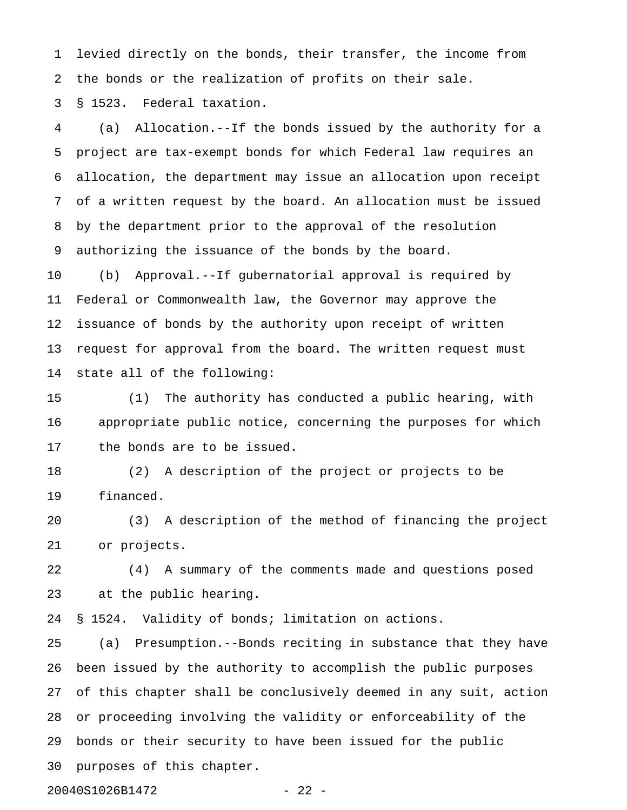1 levied directly on the bonds, their transfer, the income from 2 the bonds or the realization of profits on their sale.

3 § 1523. Federal taxation.

4 (a) Allocation.--If the bonds issued by the authority for a 5 project are tax-exempt bonds for which Federal law requires an 6 allocation, the department may issue an allocation upon receipt 7 of a written request by the board. An allocation must be issued 8 by the department prior to the approval of the resolution 9 authorizing the issuance of the bonds by the board.

10 (b) Approval.--If gubernatorial approval is required by 11 Federal or Commonwealth law, the Governor may approve the 12 issuance of bonds by the authority upon receipt of written 13 request for approval from the board. The written request must 14 state all of the following:

15 (1) The authority has conducted a public hearing, with 16 appropriate public notice, concerning the purposes for which 17 the bonds are to be issued.

18 (2) A description of the project or projects to be 19 financed.

20 (3) A description of the method of financing the project 21 or projects.

22 (4) A summary of the comments made and questions posed 23 at the public hearing.

24 § 1524. Validity of bonds; limitation on actions.

25 (a) Presumption.--Bonds reciting in substance that they have 26 been issued by the authority to accomplish the public purposes 27 of this chapter shall be conclusively deemed in any suit, action 28 or proceeding involving the validity or enforceability of the 29 bonds or their security to have been issued for the public 30 purposes of this chapter.

20040S1026B1472 - 22 -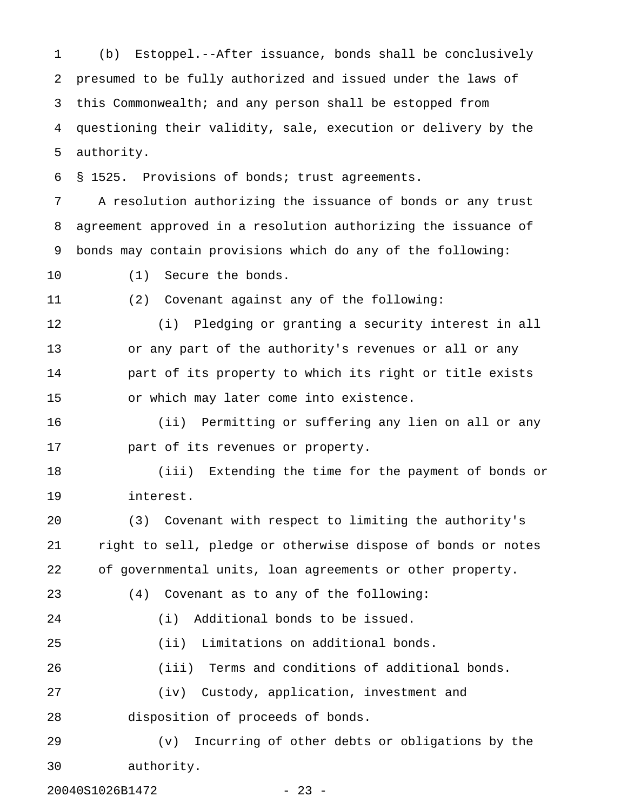1 (b) Estoppel.--After issuance, bonds shall be conclusively 2 presumed to be fully authorized and issued under the laws of 3 this Commonwealth; and any person shall be estopped from 4 questioning their validity, sale, execution or delivery by the 5 authority.

6 § 1525. Provisions of bonds; trust agreements.

7 A resolution authorizing the issuance of bonds or any trust 8 agreement approved in a resolution authorizing the issuance of 9 bonds may contain provisions which do any of the following:

10 (1) Secure the bonds.

11 (2) Covenant against any of the following:

12 (i) Pledging or granting a security interest in all 13 or any part of the authority's revenues or all or any 14 part of its property to which its right or title exists 15 or which may later come into existence.

16 (ii) Permitting or suffering any lien on all or any 17 part of its revenues or property.

18 (iii) Extending the time for the payment of bonds or 19 interest.

20 (3) Covenant with respect to limiting the authority's 21 right to sell, pledge or otherwise dispose of bonds or notes 22 of governmental units, loan agreements or other property.

23 (4) Covenant as to any of the following:

24 (i) Additional bonds to be issued.

25 (ii) Limitations on additional bonds.

26 (iii) Terms and conditions of additional bonds.

27 (iv) Custody, application, investment and

28 disposition of proceeds of bonds.

29 (v) Incurring of other debts or obligations by the 30 authority.

20040S1026B1472 - 23 -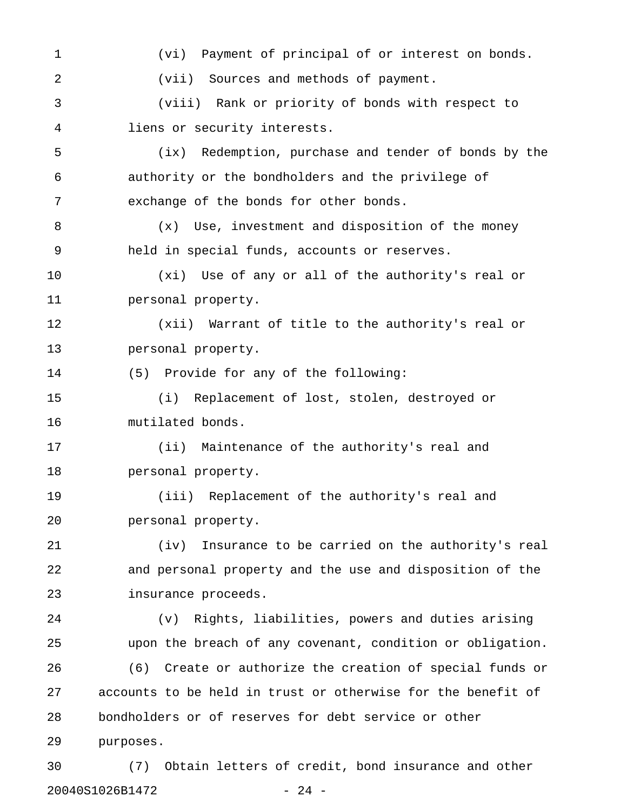1 (vi) Payment of principal of or interest on bonds. 2 (vii) Sources and methods of payment. 3 (viii) Rank or priority of bonds with respect to 4 liens or security interests. 5 (ix) Redemption, purchase and tender of bonds by the 6 authority or the bondholders and the privilege of 7 exchange of the bonds for other bonds. 8 (x) Use, investment and disposition of the money 9 held in special funds, accounts or reserves. 10 (xi) Use of any or all of the authority's real or 11 personal property. 12 (xii) Warrant of title to the authority's real or 13 personal property. 14 (5) Provide for any of the following: 15 (i) Replacement of lost, stolen, destroyed or 16 mutilated bonds. 17 (ii) Maintenance of the authority's real and 18 personal property. 19 (iii) Replacement of the authority's real and 20 personal property. 21 (iv) Insurance to be carried on the authority's real 22 and personal property and the use and disposition of the 23 insurance proceeds. 24 (v) Rights, liabilities, powers and duties arising 25 upon the breach of any covenant, condition or obligation. 26 (6) Create or authorize the creation of special funds or 27 accounts to be held in trust or otherwise for the benefit of 28 bondholders or of reserves for debt service or other 29 purposes. 30 (7) Obtain letters of credit, bond insurance and other

20040S1026B1472 - 24 -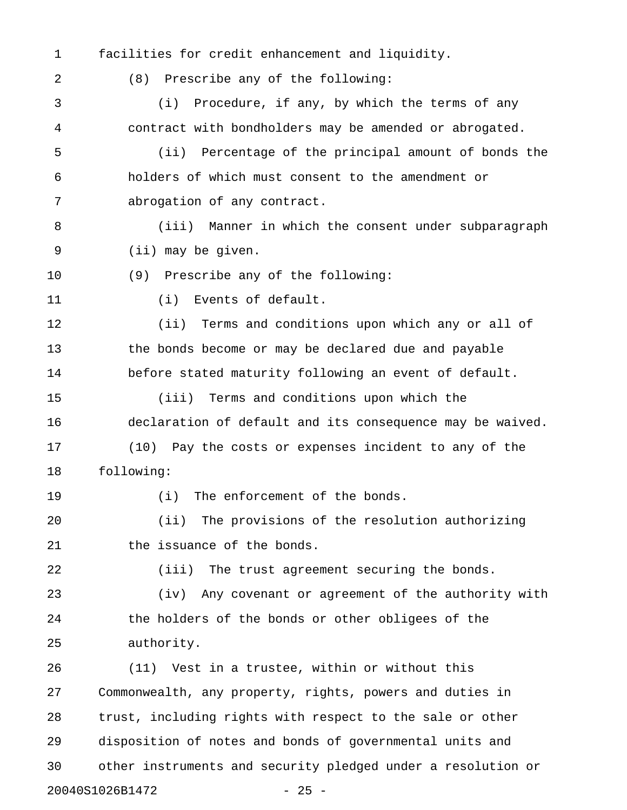1 facilities for credit enhancement and liquidity.

2 (8) Prescribe any of the following:

3 (i) Procedure, if any, by which the terms of any 4 contract with bondholders may be amended or abrogated. 5 (ii) Percentage of the principal amount of bonds the 6 holders of which must consent to the amendment or 7 abrogation of any contract. 8 (iii) Manner in which the consent under subparagraph 9 (ii) may be given. 10 (9) Prescribe any of the following: 11 (i) Events of default. 12 (ii) Terms and conditions upon which any or all of 13 the bonds become or may be declared due and payable 14 before stated maturity following an event of default. 15 (iii) Terms and conditions upon which the 16 declaration of default and its consequence may be waived. 17 (10) Pay the costs or expenses incident to any of the 18 following: 19 (i) The enforcement of the bonds. 20 (ii) The provisions of the resolution authorizing 21 the issuance of the bonds. 22 (iii) The trust agreement securing the bonds. 23 (iv) Any covenant or agreement of the authority with 24 the holders of the bonds or other obligees of the 25 authority. 26 (11) Vest in a trustee, within or without this 27 Commonwealth, any property, rights, powers and duties in 28 trust, including rights with respect to the sale or other 29 disposition of notes and bonds of governmental units and 30 other instruments and security pledged under a resolution or

20040S1026B1472 - 25 -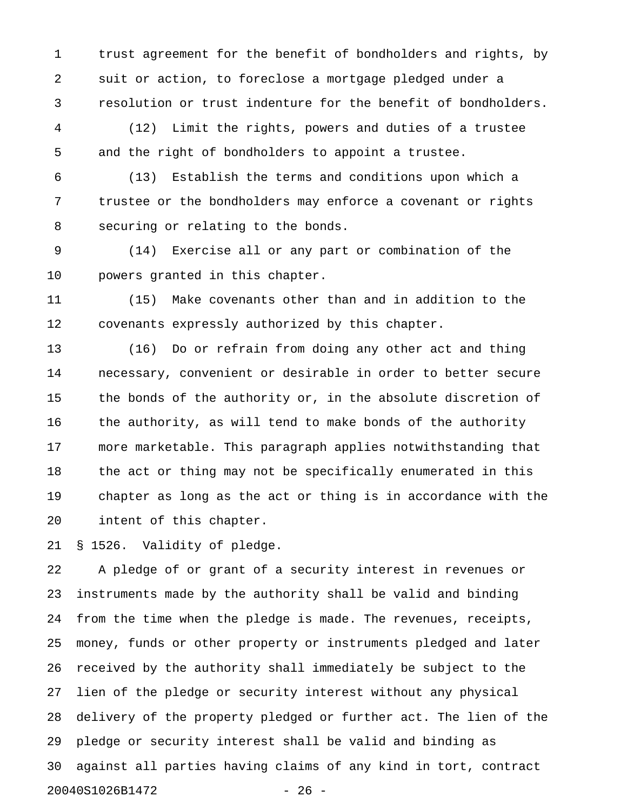1 trust agreement for the benefit of bondholders and rights, by 2 suit or action, to foreclose a mortgage pledged under a 3 resolution or trust indenture for the benefit of bondholders.

4 (12) Limit the rights, powers and duties of a trustee 5 and the right of bondholders to appoint a trustee.

6 (13) Establish the terms and conditions upon which a 7 trustee or the bondholders may enforce a covenant or rights 8 securing or relating to the bonds.

9 (14) Exercise all or any part or combination of the 10 powers granted in this chapter.

11 (15) Make covenants other than and in addition to the 12 covenants expressly authorized by this chapter.

13 (16) Do or refrain from doing any other act and thing 14 necessary, convenient or desirable in order to better secure 15 the bonds of the authority or, in the absolute discretion of 16 the authority, as will tend to make bonds of the authority 17 more marketable. This paragraph applies notwithstanding that 18 the act or thing may not be specifically enumerated in this 19 chapter as long as the act or thing is in accordance with the 20 intent of this chapter.

21 § 1526. Validity of pledge.

22 A pledge of or grant of a security interest in revenues or 23 instruments made by the authority shall be valid and binding 24 from the time when the pledge is made. The revenues, receipts, 25 money, funds or other property or instruments pledged and later 26 received by the authority shall immediately be subject to the 27 lien of the pledge or security interest without any physical 28 delivery of the property pledged or further act. The lien of the 29 pledge or security interest shall be valid and binding as 30 against all parties having claims of any kind in tort, contract 20040S1026B1472 - 26 -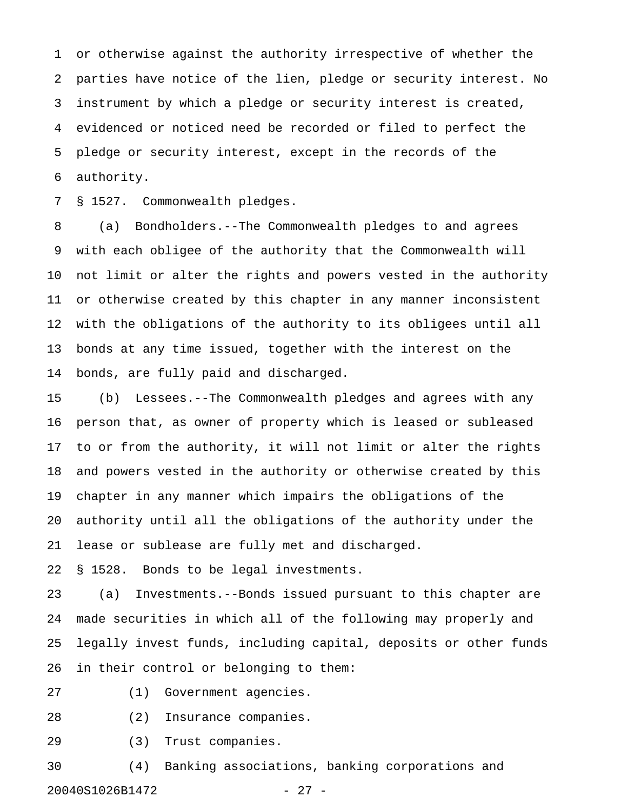1 or otherwise against the authority irrespective of whether the 2 parties have notice of the lien, pledge or security interest. No 3 instrument by which a pledge or security interest is created, 4 evidenced or noticed need be recorded or filed to perfect the 5 pledge or security interest, except in the records of the 6 authority.

7 § 1527. Commonwealth pledges.

8 (a) Bondholders.--The Commonwealth pledges to and agrees 9 with each obligee of the authority that the Commonwealth will 10 not limit or alter the rights and powers vested in the authority 11 or otherwise created by this chapter in any manner inconsistent 12 with the obligations of the authority to its obligees until all 13 bonds at any time issued, together with the interest on the 14 bonds, are fully paid and discharged.

15 (b) Lessees.--The Commonwealth pledges and agrees with any 16 person that, as owner of property which is leased or subleased 17 to or from the authority, it will not limit or alter the rights 18 and powers vested in the authority or otherwise created by this 19 chapter in any manner which impairs the obligations of the 20 authority until all the obligations of the authority under the 21 lease or sublease are fully met and discharged.

22 § 1528. Bonds to be legal investments.

23 (a) Investments.--Bonds issued pursuant to this chapter are 24 made securities in which all of the following may properly and 25 legally invest funds, including capital, deposits or other funds 26 in their control or belonging to them:

27 (1) Government agencies.

28 (2) Insurance companies.

29 (3) Trust companies.

30 (4) Banking associations, banking corporations and 20040S1026B1472 - 27 -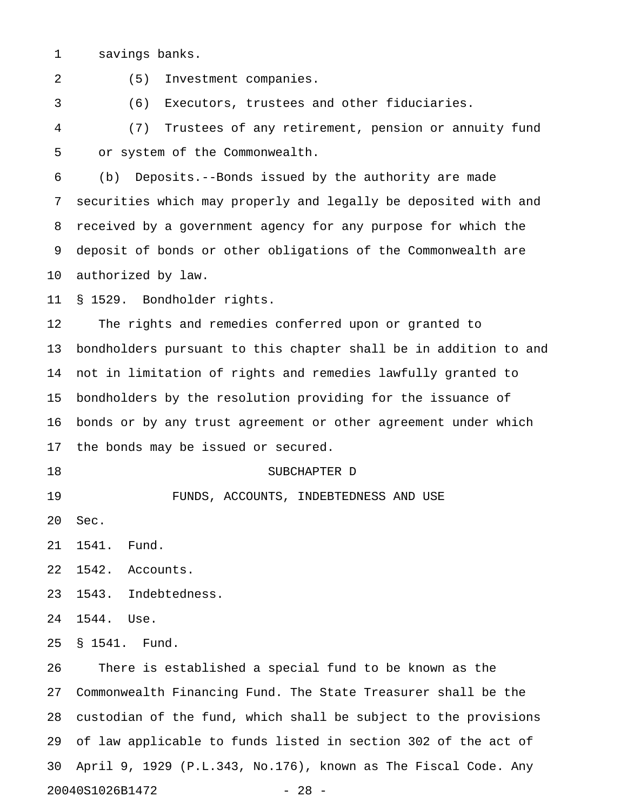1 savings banks.

2 (5) Investment companies. 3 (6) Executors, trustees and other fiduciaries. 4 (7) Trustees of any retirement, pension or annuity fund 5 or system of the Commonwealth. 6 (b) Deposits.--Bonds issued by the authority are made 7 securities which may properly and legally be deposited with and 8 received by a government agency for any purpose for which the 9 deposit of bonds or other obligations of the Commonwealth are 10 authorized by law. 11 § 1529. Bondholder rights. 12 The rights and remedies conferred upon or granted to 13 bondholders pursuant to this chapter shall be in addition to and 14 not in limitation of rights and remedies lawfully granted to 15 bondholders by the resolution providing for the issuance of 16 bonds or by any trust agreement or other agreement under which 17 the bonds may be issued or secured. 18 SUBCHAPTER D 19 FUNDS, ACCOUNTS, INDEBTEDNESS AND USE 20 Sec. 21 1541. Fund. 22 1542. Accounts. 23 1543. Indebtedness. 24 1544. Use. 25 § 1541. Fund. 26 There is established a special fund to be known as the 27 Commonwealth Financing Fund. The State Treasurer shall be the 28 custodian of the fund, which shall be subject to the provisions 29 of law applicable to funds listed in section 302 of the act of 30 April 9, 1929 (P.L.343, No.176), known as The Fiscal Code. Any

20040S1026B1472 - 28 -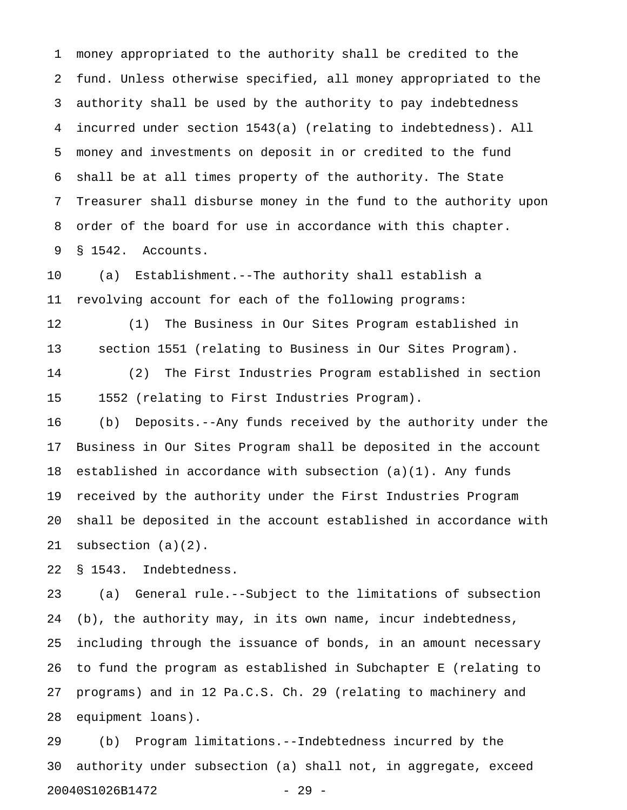1 money appropriated to the authority shall be credited to the 2 fund. Unless otherwise specified, all money appropriated to the 3 authority shall be used by the authority to pay indebtedness 4 incurred under section 1543(a) (relating to indebtedness). All 5 money and investments on deposit in or credited to the fund 6 shall be at all times property of the authority. The State 7 Treasurer shall disburse money in the fund to the authority upon 8 order of the board for use in accordance with this chapter. 9 § 1542. Accounts.

10 (a) Establishment.--The authority shall establish a 11 revolving account for each of the following programs:

12 (1) The Business in Our Sites Program established in 13 section 1551 (relating to Business in Our Sites Program).

14 (2) The First Industries Program established in section 15 1552 (relating to First Industries Program).

16 (b) Deposits.--Any funds received by the authority under the 17 Business in Our Sites Program shall be deposited in the account 18 established in accordance with subsection (a)(1). Any funds 19 received by the authority under the First Industries Program 20 shall be deposited in the account established in accordance with 21 subsection (a)(2).

22 § 1543. Indebtedness.

23 (a) General rule.--Subject to the limitations of subsection 24 (b), the authority may, in its own name, incur indebtedness, 25 including through the issuance of bonds, in an amount necessary 26 to fund the program as established in Subchapter E (relating to 27 programs) and in 12 Pa.C.S. Ch. 29 (relating to machinery and 28 equipment loans).

29 (b) Program limitations.--Indebtedness incurred by the 30 authority under subsection (a) shall not, in aggregate, exceed 20040S1026B1472 - 29 -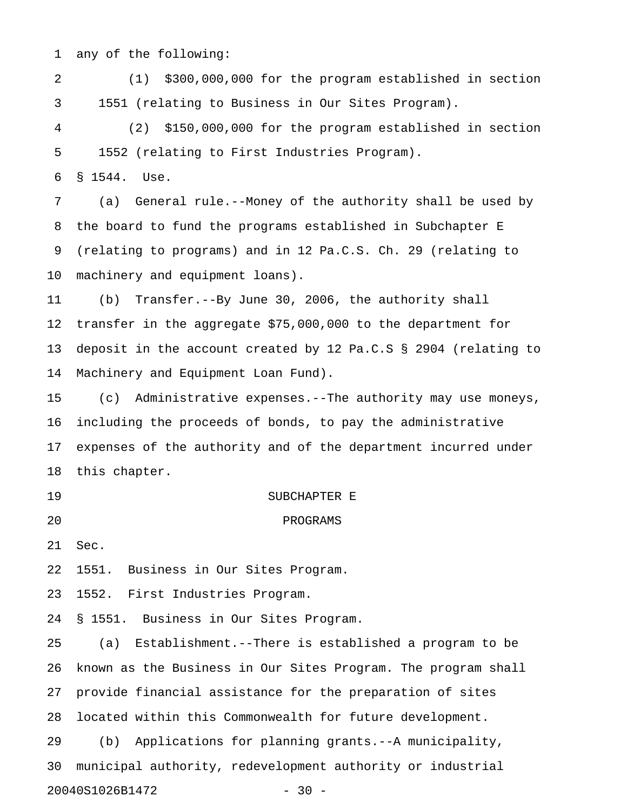1 any of the following:

2 (1) \$300,000,000 for the program established in section 3 1551 (relating to Business in Our Sites Program).

4 (2) \$150,000,000 for the program established in section 5 1552 (relating to First Industries Program).

6 § 1544. Use.

7 (a) General rule.--Money of the authority shall be used by 8 the board to fund the programs established in Subchapter E 9 (relating to programs) and in 12 Pa.C.S. Ch. 29 (relating to 10 machinery and equipment loans).

11 (b) Transfer.--By June 30, 2006, the authority shall 12 transfer in the aggregate \$75,000,000 to the department for 13 deposit in the account created by 12 Pa.C.S § 2904 (relating to 14 Machinery and Equipment Loan Fund).

15 (c) Administrative expenses.--The authority may use moneys, 16 including the proceeds of bonds, to pay the administrative 17 expenses of the authority and of the department incurred under 18 this chapter.

19 SUBCHAPTER E 20 PROGRAMS

21 Sec.

22 1551. Business in Our Sites Program.

23 1552. First Industries Program.

24 § 1551. Business in Our Sites Program.

25 (a) Establishment.--There is established a program to be 26 known as the Business in Our Sites Program. The program shall 27 provide financial assistance for the preparation of sites 28 located within this Commonwealth for future development. 29 (b) Applications for planning grants.--A municipality, 30 municipal authority, redevelopment authority or industrial 20040S1026B1472 - 30 -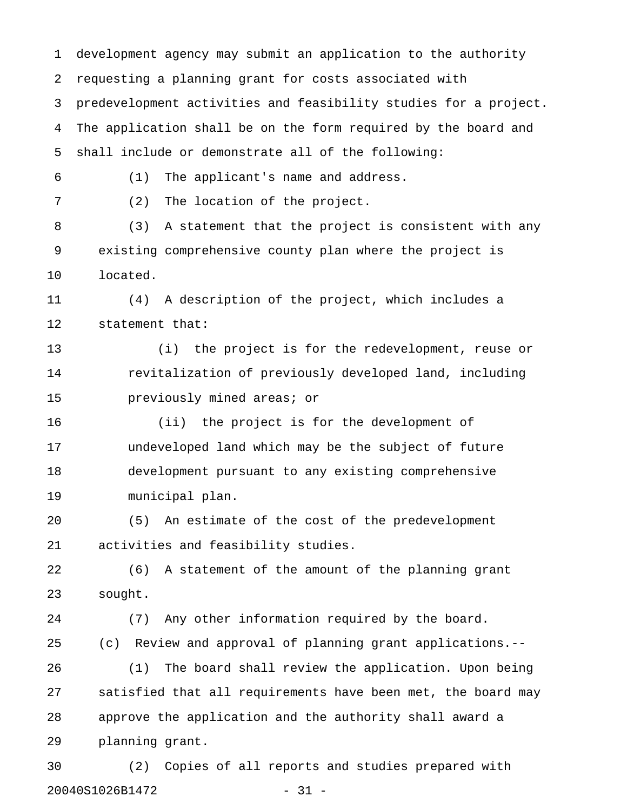1 development agency may submit an application to the authority 2 requesting a planning grant for costs associated with 3 predevelopment activities and feasibility studies for a project. 4 The application shall be on the form required by the board and 5 shall include or demonstrate all of the following: 6 (1) The applicant's name and address. 7 (2) The location of the project. 8 (3) A statement that the project is consistent with any 9 existing comprehensive county plan where the project is 10 located. 11 (4) A description of the project, which includes a 12 statement that: 13 (i) the project is for the redevelopment, reuse or 14 revitalization of previously developed land, including 15 previously mined areas; or 16 (ii) the project is for the development of 17 undeveloped land which may be the subject of future 18 development pursuant to any existing comprehensive 19 municipal plan. 20 (5) An estimate of the cost of the predevelopment 21 activities and feasibility studies. 22 (6) A statement of the amount of the planning grant 23 sought. 24 (7) Any other information required by the board. 25 (c) Review and approval of planning grant applications.-- 26 (1) The board shall review the application. Upon being 27 satisfied that all requirements have been met, the board may 28 approve the application and the authority shall award a 29 planning grant. 30 (2) Copies of all reports and studies prepared with

20040S1026B1472 - 31 -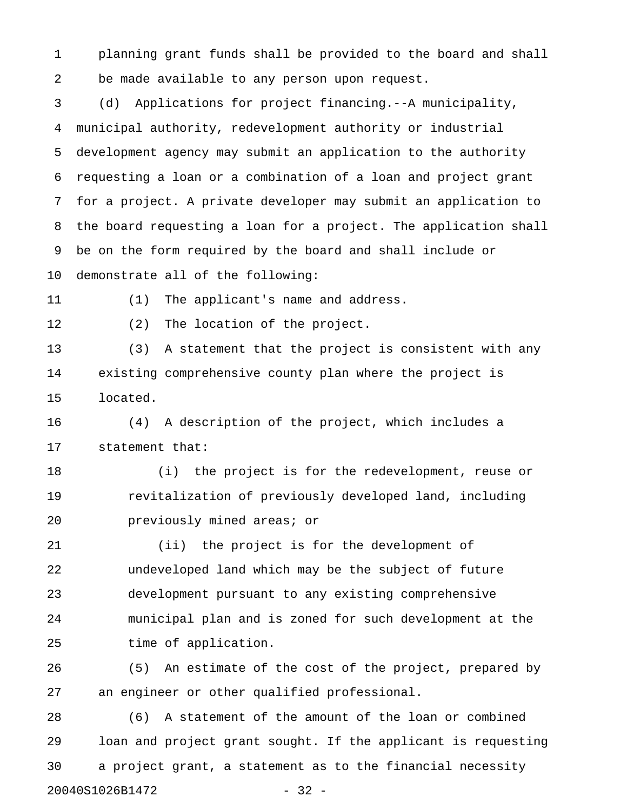1 planning grant funds shall be provided to the board and shall 2 be made available to any person upon request.

3 (d) Applications for project financing.--A municipality, 4 municipal authority, redevelopment authority or industrial 5 development agency may submit an application to the authority 6 requesting a loan or a combination of a loan and project grant 7 for a project. A private developer may submit an application to 8 the board requesting a loan for a project. The application shall 9 be on the form required by the board and shall include or 10 demonstrate all of the following:

11 (1) The applicant's name and address.

12 (2) The location of the project.

13 (3) A statement that the project is consistent with any 14 existing comprehensive county plan where the project is 15 located.

16 (4) A description of the project, which includes a 17 statement that:

18 (i) the project is for the redevelopment, reuse or 19 revitalization of previously developed land, including 20 previously mined areas; or

21 (ii) the project is for the development of 22 undeveloped land which may be the subject of future 23 development pursuant to any existing comprehensive 24 municipal plan and is zoned for such development at the 25 time of application.

26 (5) An estimate of the cost of the project, prepared by 27 an engineer or other qualified professional.

28 (6) A statement of the amount of the loan or combined 29 loan and project grant sought. If the applicant is requesting 30 a project grant, a statement as to the financial necessity 20040S1026B1472 - 32 -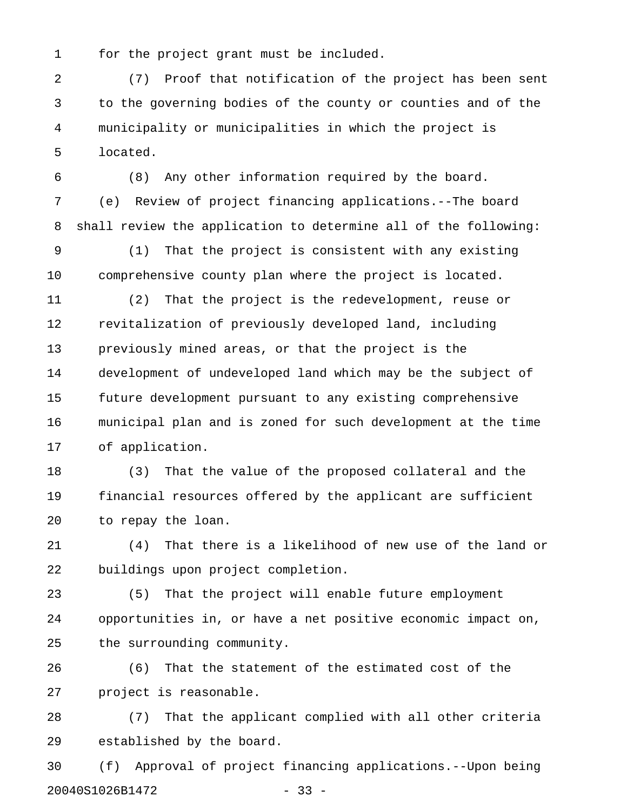1 for the project grant must be included.

2 (7) Proof that notification of the project has been sent 3 to the governing bodies of the county or counties and of the 4 municipality or municipalities in which the project is 5 located.

6 (8) Any other information required by the board. 7 (e) Review of project financing applications.--The board 8 shall review the application to determine all of the following:

9 (1) That the project is consistent with any existing 10 comprehensive county plan where the project is located.

11 (2) That the project is the redevelopment, reuse or 12 revitalization of previously developed land, including 13 previously mined areas, or that the project is the 14 development of undeveloped land which may be the subject of 15 future development pursuant to any existing comprehensive 16 municipal plan and is zoned for such development at the time 17 of application.

18 (3) That the value of the proposed collateral and the 19 financial resources offered by the applicant are sufficient 20 to repay the loan.

21 (4) That there is a likelihood of new use of the land or 22 buildings upon project completion.

23 (5) That the project will enable future employment 24 opportunities in, or have a net positive economic impact on, 25 the surrounding community.

26 (6) That the statement of the estimated cost of the 27 project is reasonable.

28 (7) That the applicant complied with all other criteria 29 established by the board.

30 (f) Approval of project financing applications.--Upon being 20040S1026B1472 - 33 -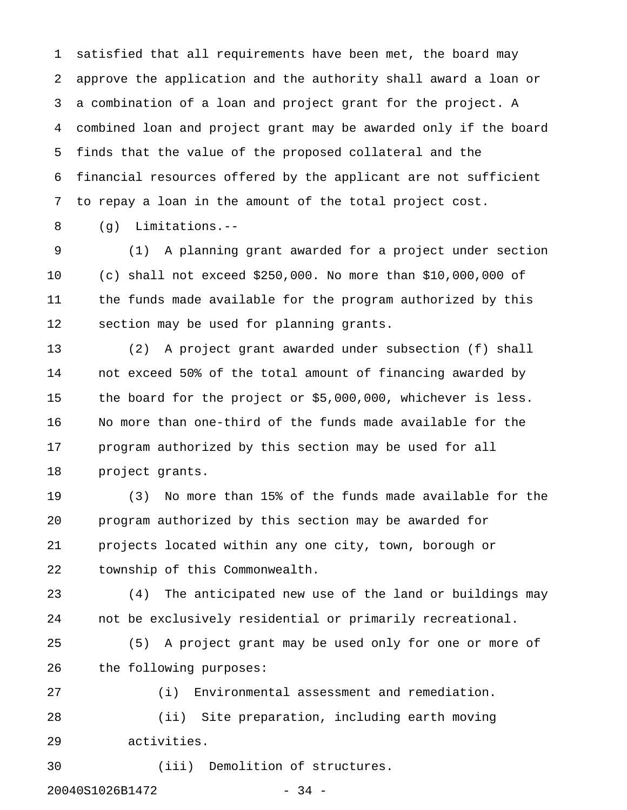1 satisfied that all requirements have been met, the board may 2 approve the application and the authority shall award a loan or 3 a combination of a loan and project grant for the project. A 4 combined loan and project grant may be awarded only if the board 5 finds that the value of the proposed collateral and the 6 financial resources offered by the applicant are not sufficient 7 to repay a loan in the amount of the total project cost.

8 (g) Limitations.--

9 (1) A planning grant awarded for a project under section 10 (c) shall not exceed \$250,000. No more than \$10,000,000 of 11 the funds made available for the program authorized by this 12 section may be used for planning grants.

13 (2) A project grant awarded under subsection (f) shall 14 not exceed 50% of the total amount of financing awarded by 15 the board for the project or \$5,000,000, whichever is less. 16 No more than one-third of the funds made available for the 17 program authorized by this section may be used for all 18 project grants.

19 (3) No more than 15% of the funds made available for the 20 program authorized by this section may be awarded for 21 projects located within any one city, town, borough or 22 township of this Commonwealth.

23 (4) The anticipated new use of the land or buildings may 24 not be exclusively residential or primarily recreational.

25 (5) A project grant may be used only for one or more of 26 the following purposes:

27 (i) Environmental assessment and remediation. 28 (ii) Site preparation, including earth moving 29 activities.

30 (iii) Demolition of structures.

20040S1026B1472 - 34 -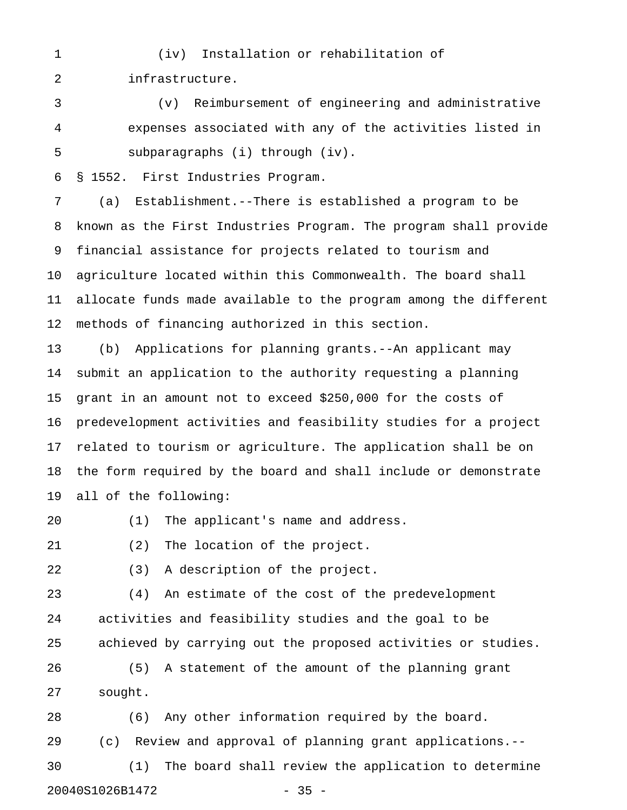### 1 (iv) Installation or rehabilitation of

2 infrastructure.

3 (v) Reimbursement of engineering and administrative 4 expenses associated with any of the activities listed in 5 subparagraphs (i) through (iv).

6 § 1552. First Industries Program.

7 (a) Establishment.--There is established a program to be 8 known as the First Industries Program. The program shall provide 9 financial assistance for projects related to tourism and 10 agriculture located within this Commonwealth. The board shall 11 allocate funds made available to the program among the different 12 methods of financing authorized in this section.

13 (b) Applications for planning grants.--An applicant may 14 submit an application to the authority requesting a planning 15 grant in an amount not to exceed \$250,000 for the costs of 16 predevelopment activities and feasibility studies for a project 17 related to tourism or agriculture. The application shall be on 18 the form required by the board and shall include or demonstrate 19 all of the following:

20 (1) The applicant's name and address.

21 (2) The location of the project.

22 (3) A description of the project.

23 (4) An estimate of the cost of the predevelopment 24 activities and feasibility studies and the goal to be 25 achieved by carrying out the proposed activities or studies.

26 (5) A statement of the amount of the planning grant 27 sought.

28 (6) Any other information required by the board. 29 (c) Review and approval of planning grant applications.-- 30 (1) The board shall review the application to determine 20040S1026B1472 - 35 -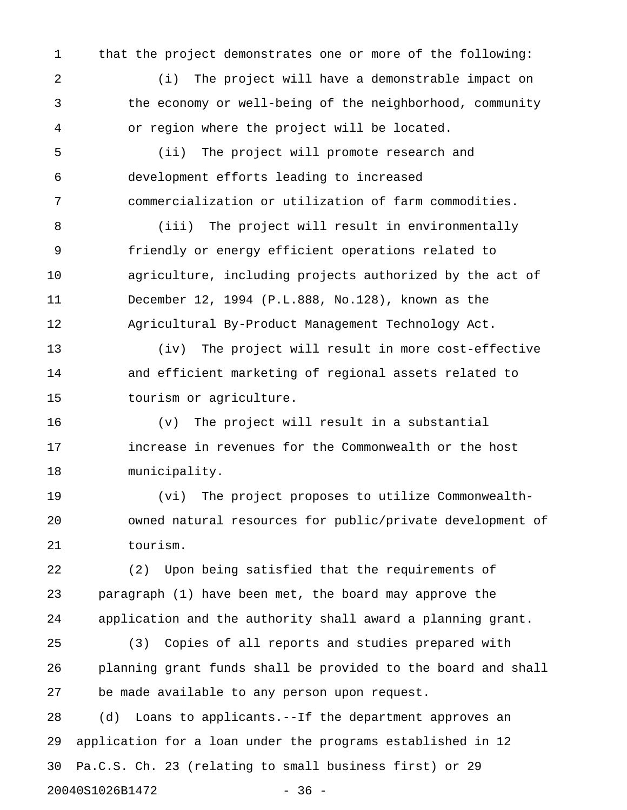1 that the project demonstrates one or more of the following:

2 (i) The project will have a demonstrable impact on 3 the economy or well-being of the neighborhood, community 4 or region where the project will be located.

5 (ii) The project will promote research and 6 development efforts leading to increased 7 commercialization or utilization of farm commodities.

8 (iii) The project will result in environmentally 9 friendly or energy efficient operations related to 10 agriculture, including projects authorized by the act of 11 December 12, 1994 (P.L.888, No.128), known as the 12 Agricultural By-Product Management Technology Act.

13 (iv) The project will result in more cost-effective 14 and efficient marketing of regional assets related to 15 tourism or agriculture.

16 (v) The project will result in a substantial 17 increase in revenues for the Commonwealth or the host 18 municipality.

19 (vi) The project proposes to utilize Commonwealth-20 owned natural resources for public/private development of 21 tourism.

22 (2) Upon being satisfied that the requirements of 23 paragraph (1) have been met, the board may approve the 24 application and the authority shall award a planning grant.

25 (3) Copies of all reports and studies prepared with 26 planning grant funds shall be provided to the board and shall 27 be made available to any person upon request.

28 (d) Loans to applicants.--If the department approves an 29 application for a loan under the programs established in 12 30 Pa.C.S. Ch. 23 (relating to small business first) or 29 20040S1026B1472 - 36 -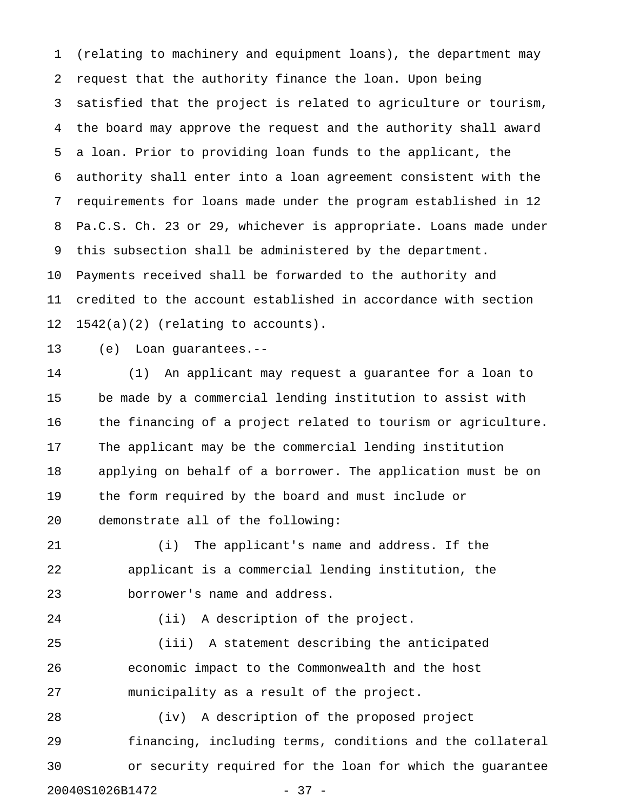1 (relating to machinery and equipment loans), the department may 2 request that the authority finance the loan. Upon being 3 satisfied that the project is related to agriculture or tourism, 4 the board may approve the request and the authority shall award 5 a loan. Prior to providing loan funds to the applicant, the 6 authority shall enter into a loan agreement consistent with the 7 requirements for loans made under the program established in 12 8 Pa.C.S. Ch. 23 or 29, whichever is appropriate. Loans made under 9 this subsection shall be administered by the department. 10 Payments received shall be forwarded to the authority and 11 credited to the account established in accordance with section 12 1542(a)(2) (relating to accounts).

13 (e) Loan guarantees.--

14 (1) An applicant may request a guarantee for a loan to 15 be made by a commercial lending institution to assist with 16 the financing of a project related to tourism or agriculture. 17 The applicant may be the commercial lending institution 18 applying on behalf of a borrower. The application must be on 19 the form required by the board and must include or 20 demonstrate all of the following:

21 (i) The applicant's name and address. If the 22 applicant is a commercial lending institution, the 23 borrower's name and address.

24 (ii) A description of the project.

25 (iii) A statement describing the anticipated 26 economic impact to the Commonwealth and the host 27 municipality as a result of the project.

28 (iv) A description of the proposed project 29 financing, including terms, conditions and the collateral 30 or security required for the loan for which the guarantee 20040S1026B1472 - 37 -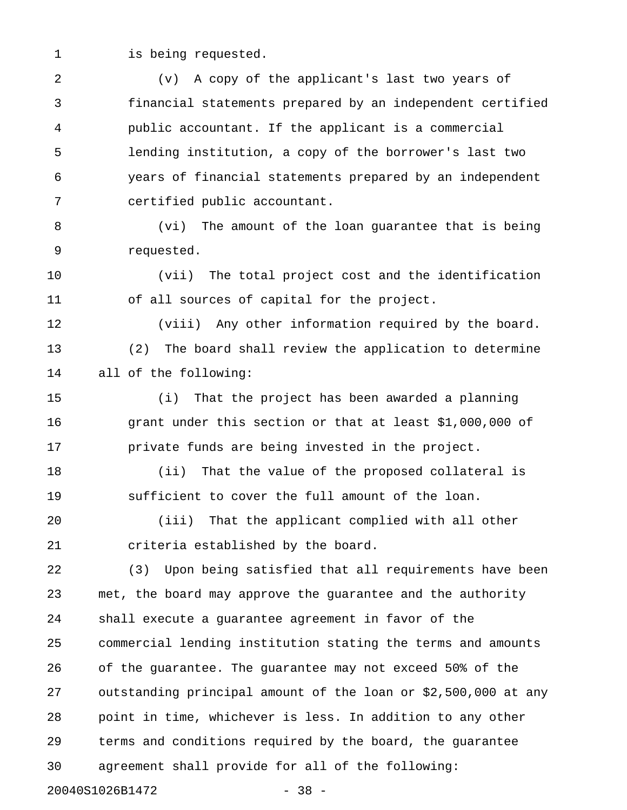1 is being requested.

3 financial statements prepared by an independent certified 4 public accountant. If the applicant is a commercial 5 lending institution, a copy of the borrower's last two 6 years of financial statements prepared by an independent 7 certified public accountant. 8 (vi) The amount of the loan guarantee that is being 9 requested. 10 (vii) The total project cost and the identification 11 of all sources of capital for the project. 12 (viii) Any other information required by the board. 13 (2) The board shall review the application to determine 14 all of the following: 15 (i) That the project has been awarded a planning 16 grant under this section or that at least \$1,000,000 of 17 private funds are being invested in the project. 18 (ii) That the value of the proposed collateral is 19 sufficient to cover the full amount of the loan. 20 (iii) That the applicant complied with all other 21 criteria established by the board. 22 (3) Upon being satisfied that all requirements have been 23 met, the board may approve the guarantee and the authority 24 shall execute a guarantee agreement in favor of the 25 commercial lending institution stating the terms and amounts 26 of the guarantee. The guarantee may not exceed 50% of the 27 outstanding principal amount of the loan or \$2,500,000 at any 28 point in time, whichever is less. In addition to any other 29 terms and conditions required by the board, the guarantee 30 agreement shall provide for all of the following: 20040S1026B1472 - 38 -

2 (v) A copy of the applicant's last two years of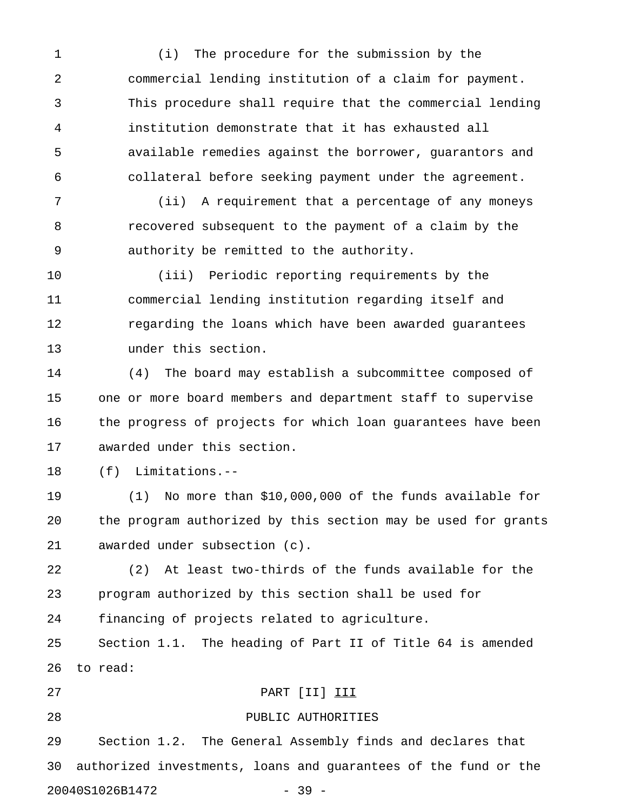1 (i) The procedure for the submission by the 2 commercial lending institution of a claim for payment. 3 This procedure shall require that the commercial lending 4 institution demonstrate that it has exhausted all 5 available remedies against the borrower, guarantors and 6 collateral before seeking payment under the agreement.

7 (ii) A requirement that a percentage of any moneys 8 recovered subsequent to the payment of a claim by the 9 authority be remitted to the authority.

10 (iii) Periodic reporting requirements by the 11 commercial lending institution regarding itself and 12 regarding the loans which have been awarded guarantees 13 under this section.

14 (4) The board may establish a subcommittee composed of 15 one or more board members and department staff to supervise 16 the progress of projects for which loan guarantees have been 17 awarded under this section.

18 (f) Limitations.--

19 (1) No more than \$10,000,000 of the funds available for 20 the program authorized by this section may be used for grants 21 awarded under subsection (c).

22 (2) At least two-thirds of the funds available for the 23 program authorized by this section shall be used for 24 financing of projects related to agriculture.

25 Section 1.1. The heading of Part II of Title 64 is amended 26 to read:

# 27 PART [II] III

## 28 PUBLIC AUTHORITIES

29 Section 1.2. The General Assembly finds and declares that 30 authorized investments, loans and guarantees of the fund or the 20040S1026B1472 - 39 -